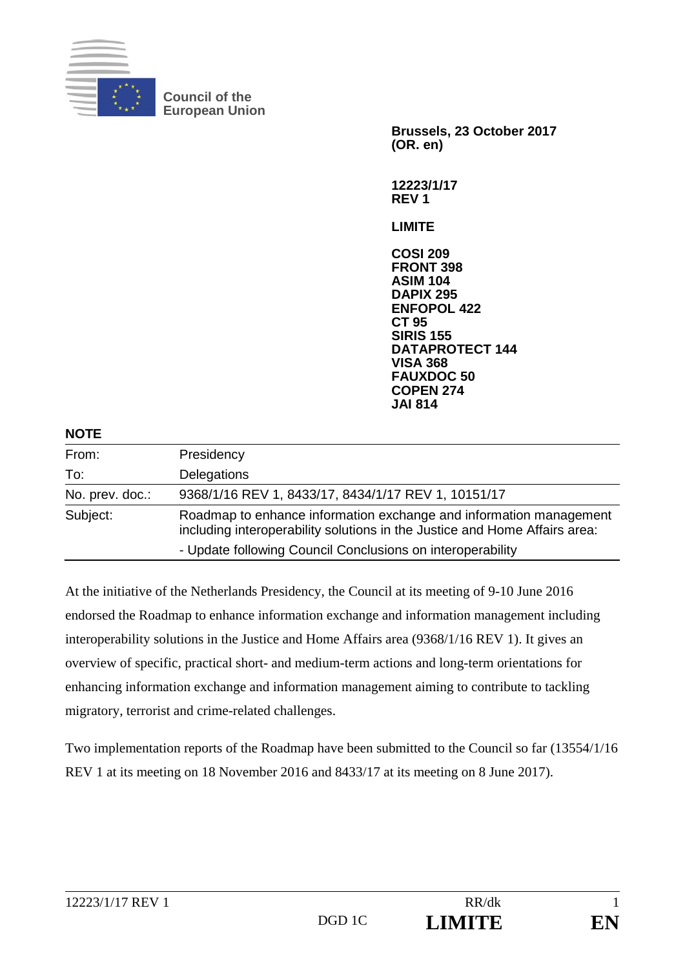

**Council of the European Union** 

> **Brussels, 23 October 2017 (OR. en)**

**12223/1/17 REV 1** 

**LIMITE** 

**COSI 209 FRONT 398 ASIM 104 DAPIX 295 ENFOPOL 422 CT 95 SIRIS 155 DATAPROTECT 144 VISA 368 FAUXDOC 50 COPEN 274 JAI 814**

| <b>NOTE</b>     |                                                                                                                                                  |
|-----------------|--------------------------------------------------------------------------------------------------------------------------------------------------|
| From:           | Presidency                                                                                                                                       |
| To:             | Delegations                                                                                                                                      |
| No. prev. doc.: | 9368/1/16 REV 1, 8433/17, 8434/1/17 REV 1, 10151/17                                                                                              |
| Subject:        | Roadmap to enhance information exchange and information management<br>including interoperability solutions in the Justice and Home Affairs area: |
|                 | - Update following Council Conclusions on interoperability                                                                                       |

At the initiative of the Netherlands Presidency, the Council at its meeting of 9-10 June 2016 endorsed the Roadmap to enhance information exchange and information management including interoperability solutions in the Justice and Home Affairs area (9368/1/16 REV 1). It gives an overview of specific, practical short- and medium-term actions and long-term orientations for enhancing information exchange and information management aiming to contribute to tackling migratory, terrorist and crime-related challenges.

Two implementation reports of the Roadmap have been submitted to the Council so far (13554/1/16 REV 1 at its meeting on 18 November 2016 and 8433/17 at its meeting on 8 June 2017).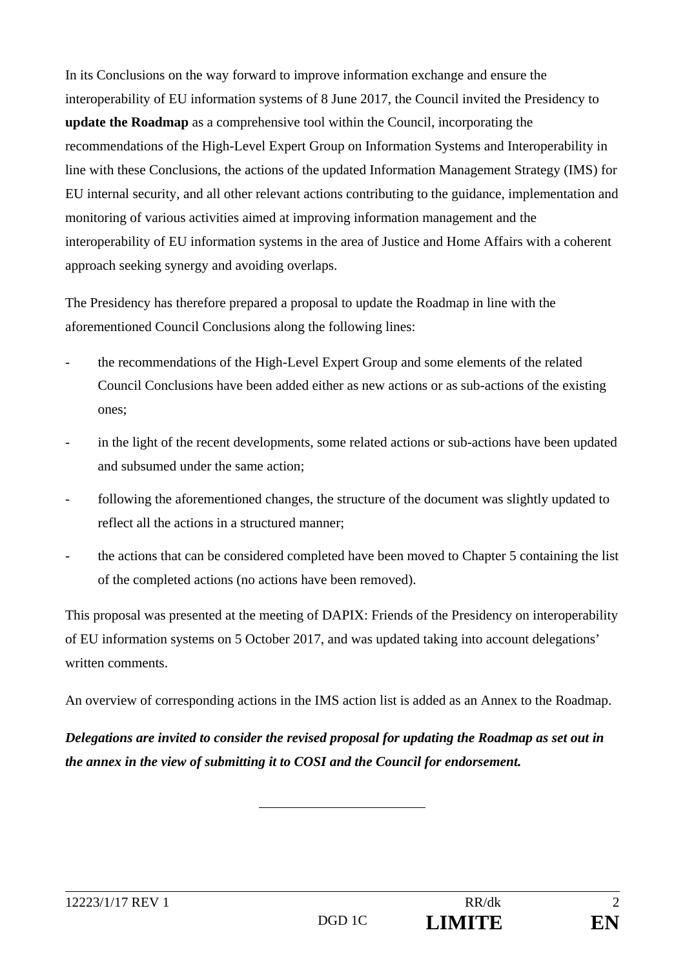In its Conclusions on the way forward to improve information exchange and ensure the interoperability of EU information systems of 8 June 2017, the Council invited the Presidency to **update the Roadmap** as a comprehensive tool within the Council, incorporating the recommendations of the High-Level Expert Group on Information Systems and Interoperability in line with these Conclusions, the actions of the updated Information Management Strategy (IMS) for EU internal security, and all other relevant actions contributing to the guidance, implementation and monitoring of various activities aimed at improving information management and the interoperability of EU information systems in the area of Justice and Home Affairs with a coherent approach seeking synergy and avoiding overlaps.

The Presidency has therefore prepared a proposal to update the Roadmap in line with the aforementioned Council Conclusions along the following lines:

- the recommendations of the High-Level Expert Group and some elements of the related Council Conclusions have been added either as new actions or as sub-actions of the existing ones;
- in the light of the recent developments, some related actions or sub-actions have been updated and subsumed under the same action;
- following the aforementioned changes, the structure of the document was slightly updated to reflect all the actions in a structured manner;
- the actions that can be considered completed have been moved to Chapter 5 containing the list of the completed actions (no actions have been removed).

This proposal was presented at the meeting of DAPIX: Friends of the Presidency on interoperability of EU information systems on 5 October 2017, and was updated taking into account delegations' written comments.

An overview of corresponding actions in the IMS action list is added as an Annex to the Roadmap.

*Delegations are invited to consider the revised proposal for updating the Roadmap as set out in the annex in the view of submitting it to COSI and the Council for endorsement.*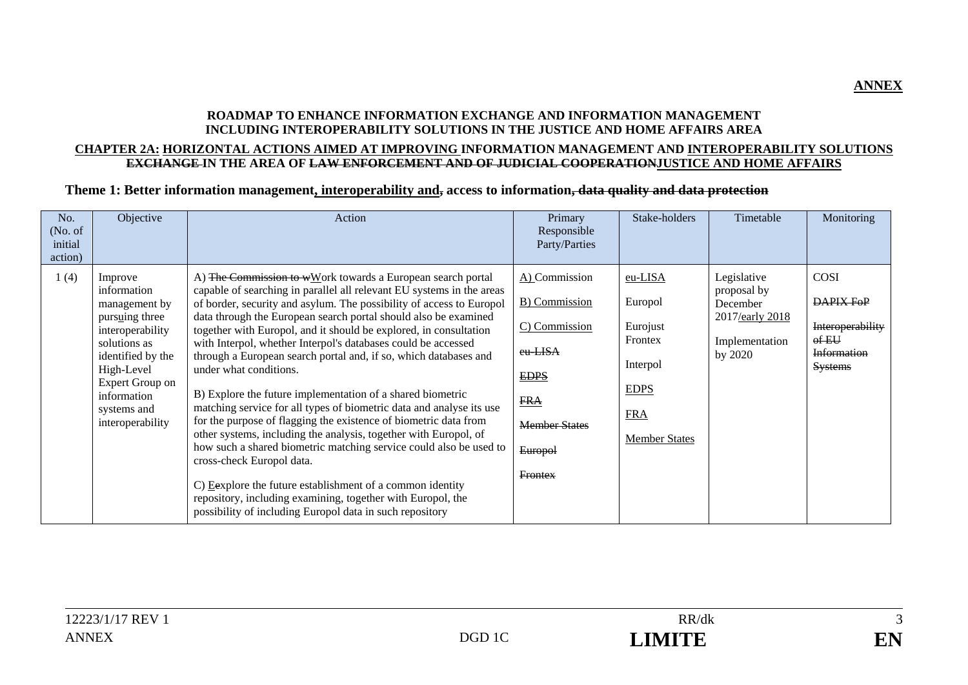#### **ROADMAP TO ENHANCE INFORMATION EXCHANGE AND INFORMATION MANAGEMENT INCLUDING INTEROPERABILITY SOLUTIONS IN THE JUSTICE AND HOME AFFAIRS AREA**

#### **CHAPTER 2A: HORIZONTAL ACTIONS AIMED AT IMPROVING INFORMATION MANAGEMENT AND INTEROPERABILITY SOLUTIONS EXCHANGE IN THE AREA OF LAW ENFORCEMENT AND OF JUDICIAL COOPERATIONJUSTICE AND HOME AFFAIRS**

#### **Theme 1: Better information management, interoperability and, access to information, data quality and data protection**

| No.<br>(No. of<br>initial<br>action) | Objective                                                                                                                                                                                             | Action                                                                                                                                                                                                                                                                                                                                                                                                                                                                                                                                                                                                                                                                                                                                                                                                                                                                                                                                                                                                                                                                                       | Primary<br>Responsible<br>Party/Parties                                                                                                              | Stake-holders                                                                                              | Timetable                                                                              | Monitoring                                                                                   |
|--------------------------------------|-------------------------------------------------------------------------------------------------------------------------------------------------------------------------------------------------------|----------------------------------------------------------------------------------------------------------------------------------------------------------------------------------------------------------------------------------------------------------------------------------------------------------------------------------------------------------------------------------------------------------------------------------------------------------------------------------------------------------------------------------------------------------------------------------------------------------------------------------------------------------------------------------------------------------------------------------------------------------------------------------------------------------------------------------------------------------------------------------------------------------------------------------------------------------------------------------------------------------------------------------------------------------------------------------------------|------------------------------------------------------------------------------------------------------------------------------------------------------|------------------------------------------------------------------------------------------------------------|----------------------------------------------------------------------------------------|----------------------------------------------------------------------------------------------|
| 1(4)                                 | Improve<br>information<br>management by<br>pursuing three<br>interoperability<br>solutions as<br>identified by the<br>High-Level<br>Expert Group on<br>information<br>systems and<br>interoperability | A) The Commission to wWork towards a European search portal<br>capable of searching in parallel all relevant EU systems in the areas<br>of border, security and asylum. The possibility of access to Europol<br>data through the European search portal should also be examined<br>together with Europol, and it should be explored, in consultation<br>with Interpol, whether Interpol's databases could be accessed<br>through a European search portal and, if so, which databases and<br>under what conditions.<br>B) Explore the future implementation of a shared biometric<br>matching service for all types of biometric data and analyse its use<br>for the purpose of flagging the existence of biometric data from<br>other systems, including the analysis, together with Europol, of<br>how such a shared biometric matching service could also be used to<br>cross-check Europol data.<br>C) Eexplore the future establishment of a common identity<br>repository, including examining, together with Europol, the<br>possibility of including Europol data in such repository | A) Commission<br><b>B</b> ) Commission<br>C) Commission<br>eu-LISA<br><b>EDPS</b><br><b>FRA</b><br><b>Member States</b><br>Europol<br><b>Frontex</b> | eu-LISA<br>Europol<br>Eurojust<br>Frontex<br>Interpol<br><b>EDPS</b><br><b>FRA</b><br><b>Member States</b> | Legislative<br>proposal by<br>December<br>2017/early 2018<br>Implementation<br>by 2020 | COSI<br>DAPIX FoP<br>Interoperability<br>$0$ f $E$ U<br><b>Information</b><br><b>Systems</b> |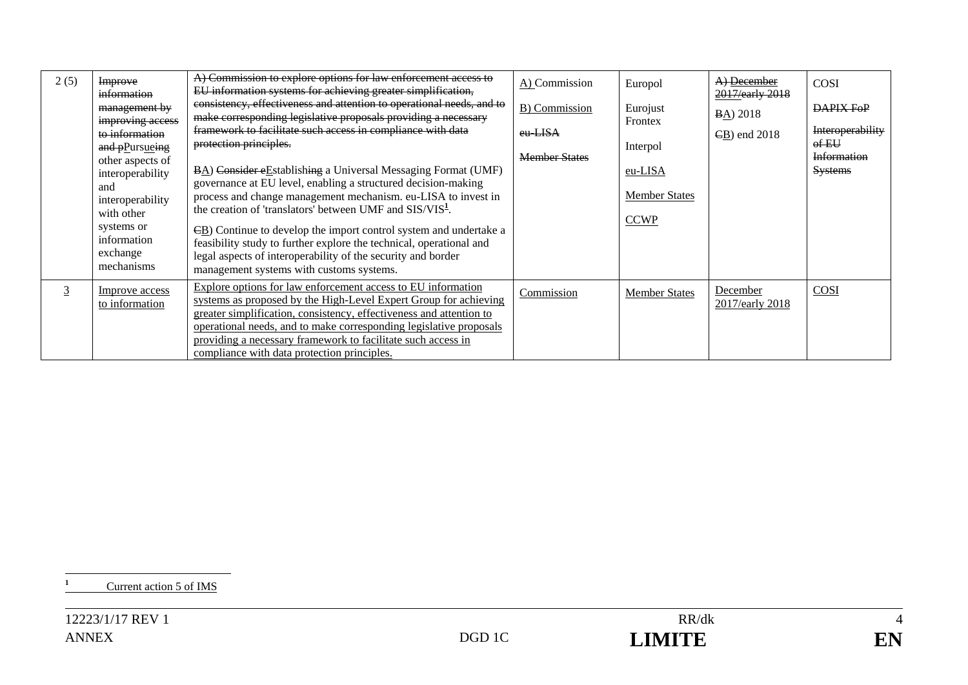| 2(5) | Improve<br>information<br>management by<br>improving access<br>to information<br>and pPursueing<br>other aspects of<br>interoperability<br>and<br>interoperability<br>with other<br>systems or<br>information<br>exchange<br>mechanisms | A) Commission to explore options for law enforcement access to<br>EU information systems for achieving greater simplification,<br>consistency, effectiveness and attention to operational needs, and to<br>make corresponding legislative proposals providing a necessary<br>framework to facilitate such access in compliance with data<br>protection principles.<br>BA) Consider eEstablishing a Universal Messaging Format (UMF)<br>governance at EU level, enabling a structured decision-making<br>process and change management mechanism. eu-LISA to invest in<br>the creation of 'translators' between UMF and SIS/VIS <sup>1</sup> .<br>ED) Continue to develop the import control system and undertake a<br>feasibility study to further explore the technical, operational and<br>legal aspects of interoperability of the security and border<br>management systems with customs systems. | A) Commission<br>B) Commission<br>eu-LISA<br><b>Member States</b> | Europol<br>Eurojust<br>Frontex<br>Interpol<br>eu-LISA<br><b>Member States</b><br><b>CCWP</b> | A) December<br>2017/early 2018<br><b>BA</b> ) 2018<br>$\angle$ B) end 2018 | COSI<br>DAPIX FoP<br>Interoperability<br>$of EU$<br><b>Information</b><br><b>Systems</b> |
|------|-----------------------------------------------------------------------------------------------------------------------------------------------------------------------------------------------------------------------------------------|-------------------------------------------------------------------------------------------------------------------------------------------------------------------------------------------------------------------------------------------------------------------------------------------------------------------------------------------------------------------------------------------------------------------------------------------------------------------------------------------------------------------------------------------------------------------------------------------------------------------------------------------------------------------------------------------------------------------------------------------------------------------------------------------------------------------------------------------------------------------------------------------------------|-------------------------------------------------------------------|----------------------------------------------------------------------------------------------|----------------------------------------------------------------------------|------------------------------------------------------------------------------------------|
| 3    | Improve access<br>to information                                                                                                                                                                                                        | Explore options for law enforcement access to EU information<br>systems as proposed by the High-Level Expert Group for achieving<br>greater simplification, consistency, effectiveness and attention to<br>operational needs, and to make corresponding legislative proposals<br>providing a necessary framework to facilitate such access in<br>compliance with data protection principles.                                                                                                                                                                                                                                                                                                                                                                                                                                                                                                          | Commission                                                        | <b>Member States</b>                                                                         | December<br>2017/early 2018                                                | COSI                                                                                     |

**<sup>1</sup>** Current action 5 of IMS

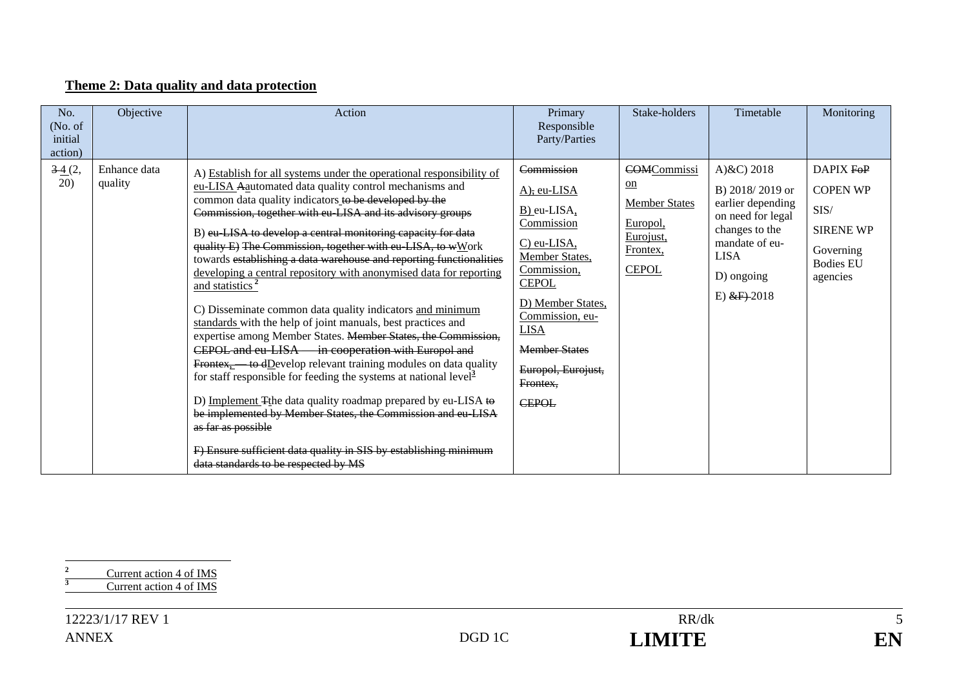### **Theme 2: Data quality and data protection**

| No.<br>(No. of<br>initial<br>action) | Objective               | Action                                                                                                                                                                                                                                                                                                                                                                                                                                                                                                                                                                                                                                                                                                                                                                                                                                                                                                                                                                                                                                                                                                                                                                                                                                              | Primary<br>Responsible<br>Party/Parties                                                                                                                                                                                                                                     | Stake-holders                                                                                                     | Timetable                                                                                                                                                       | Monitoring                                                                                            |
|--------------------------------------|-------------------------|-----------------------------------------------------------------------------------------------------------------------------------------------------------------------------------------------------------------------------------------------------------------------------------------------------------------------------------------------------------------------------------------------------------------------------------------------------------------------------------------------------------------------------------------------------------------------------------------------------------------------------------------------------------------------------------------------------------------------------------------------------------------------------------------------------------------------------------------------------------------------------------------------------------------------------------------------------------------------------------------------------------------------------------------------------------------------------------------------------------------------------------------------------------------------------------------------------------------------------------------------------|-----------------------------------------------------------------------------------------------------------------------------------------------------------------------------------------------------------------------------------------------------------------------------|-------------------------------------------------------------------------------------------------------------------|-----------------------------------------------------------------------------------------------------------------------------------------------------------------|-------------------------------------------------------------------------------------------------------|
| 34(2,<br>(20)                        | Enhance data<br>quality | A) Establish for all systems under the operational responsibility of<br>eu-LISA Aautomated data quality control mechanisms and<br>common data quality indicators to be developed by the<br>Commission, together with eu-LISA and its advisory groups<br>B) eu LISA to develop a central monitoring capacity for data<br>quality E) The Commission, together with eu LISA, to wWork<br>towards establishing a data warehouse and reporting functionalities<br>developing a central repository with anonymised data for reporting<br>and statistics <sup>2</sup><br>C) Disseminate common data quality indicators and minimum<br>standards with the help of joint manuals, best practices and<br>expertise among Member States. Member States, the Commission,<br>CEPOL and eu-LISA in cooperation with Europol and<br>Frontex <sub>1</sub> — to dDevelop relevant training modules on data quality<br>for staff responsible for feeding the systems at national level <sup>3</sup><br>D) Implement Tthe data quality roadmap prepared by eu-LISA to<br>be implemented by Member States, the Commission and eu-LISA<br>as far as possible<br>F) Ensure sufficient data quality in SIS by establishing minimum<br>data standards to be respected by MS | Commission<br>$A)$ , eu-LISA<br>$\underline{B}$ ) eu-LISA,<br>Commission<br>$C)$ eu-LISA,<br>Member States,<br>Commission,<br><b>CEPOL</b><br>D) Member States,<br>Commission, eu-<br><b>LISA</b><br><b>Member States</b><br>Europol, Eurojust,<br>Frontex.<br><b>CEPOL</b> | <b>COMCommissi</b><br>$_{\text{on}}$<br><b>Member States</b><br>Europol,<br>Eurojust,<br>Frontex,<br><b>CEPOL</b> | A) $\&C$ ) 2018<br>B) 2018/2019 or<br>earlier depending<br>on need for legal<br>changes to the<br>mandate of eu-<br><b>LISA</b><br>D) ongoing<br>E) $&$ F) 2018 | DAPIX FOP<br><b>COPEN WP</b><br>SIS/<br><b>SIRENE WP</b><br>Governing<br><b>Bodies EU</b><br>agencies |

<sup>2</sup> Current action 4 of IMS<br> **Current action 4 of IMS**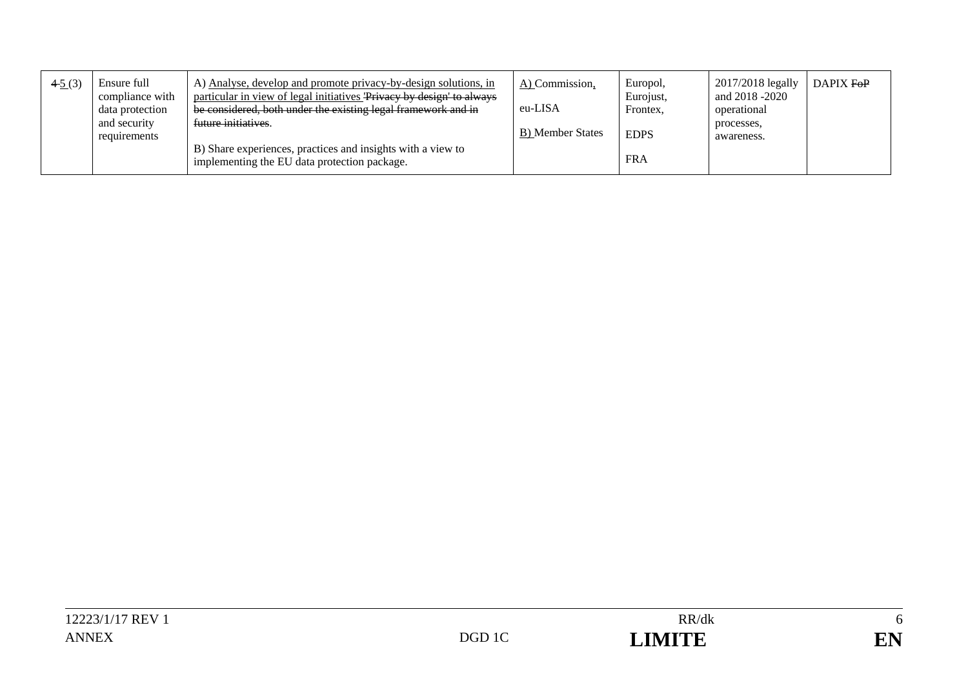| 45(3) | Ensure full     | A) Analyse, develop and promote privacy-by-design solutions, in                                             | A) Commission,   | Europol,    | 2017/2018 legally | DAPIX FOP |
|-------|-----------------|-------------------------------------------------------------------------------------------------------------|------------------|-------------|-------------------|-----------|
|       | compliance with | particular in view of legal initiatives Privacy by design to always                                         |                  | Eurojust,   | and 2018 -2020    |           |
|       | data protection | be considered, both under the existing legal framework and in                                               | eu-LISA          | Frontex.    | operational       |           |
|       | and security    | future initiatives.                                                                                         |                  |             | processes.        |           |
|       | requirements    |                                                                                                             | B) Member States | <b>EDPS</b> | awareness.        |           |
|       |                 | B) Share experiences, practices and insights with a view to<br>implementing the EU data protection package. |                  | <b>FRA</b>  |                   |           |



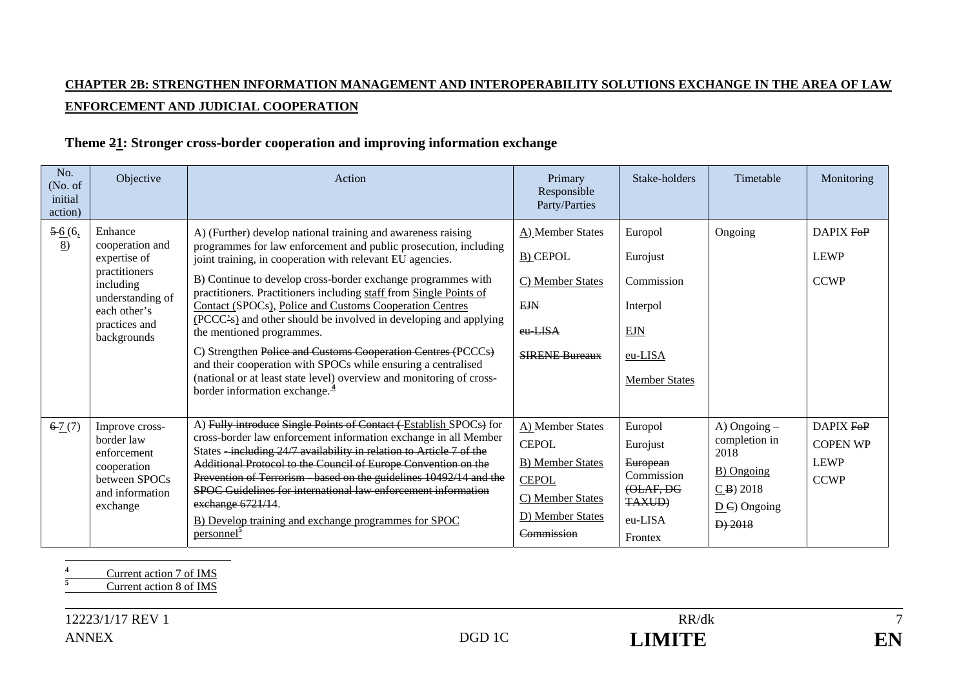## **CHAPTER 2B: STRENGTHEN INFORMATION MANAGEMENT AND INTEROPERABILITY SOLUTIONS EXCHANGE IN THE AREA OF LAW ENFORCEMENT AND JUDICIAL COOPERATION**

### **Theme 21: Stronger cross-border cooperation and improving information exchange**

| No.<br>(No. of<br>initial<br>action) | Objective                                                                                                                                    | Action                                                                                                                                                                                                                                                                                                                                                                                                                                                                                                                                                                                                                                                                                                                                                 | Primary<br>Responsible<br>Party/Parties                                                                                           | Stake-holders                                                                                     | Timetable                                                                                                        | Monitoring                                                 |
|--------------------------------------|----------------------------------------------------------------------------------------------------------------------------------------------|--------------------------------------------------------------------------------------------------------------------------------------------------------------------------------------------------------------------------------------------------------------------------------------------------------------------------------------------------------------------------------------------------------------------------------------------------------------------------------------------------------------------------------------------------------------------------------------------------------------------------------------------------------------------------------------------------------------------------------------------------------|-----------------------------------------------------------------------------------------------------------------------------------|---------------------------------------------------------------------------------------------------|------------------------------------------------------------------------------------------------------------------|------------------------------------------------------------|
| $5-6(6,$<br>8                        | Enhance<br>cooperation and<br>expertise of<br>practitioners<br>including<br>understanding of<br>each other's<br>practices and<br>backgrounds | A) (Further) develop national training and awareness raising<br>programmes for law enforcement and public prosecution, including<br>joint training, in cooperation with relevant EU agencies.<br>B) Continue to develop cross-border exchange programmes with<br>practitioners. Practitioners including staff from Single Points of<br>Contact (SPOCs), Police and Customs Cooperation Centres<br>(PCCC's) and other should be involved in developing and applying<br>the mentioned programmes.<br>C) Strengthen Police and Customs Cooperation Centres (PCCCs)<br>and their cooperation with SPOCs while ensuring a centralised<br>(national or at least state level) overview and monitoring of cross-<br>border information exchange. $\frac{4}{3}$ | A) Member States<br><b>B)</b> CEPOL<br>C) Member States<br><b>EJN</b><br>eu-LISA<br><b>SIRENE Bureaux</b>                         | Europol<br>Eurojust<br>Commission<br>Interpol<br>EJN<br>eu-LISA<br><b>Member States</b>           | Ongoing                                                                                                          | DAPIX FOP<br><b>LEWP</b><br><b>CCWP</b>                    |
| 67(7)                                | Improve cross-<br>border law<br>enforcement<br>cooperation<br>between SPOCs<br>and information<br>exchange                                   | A) Fully introduce Single Points of Contact (Establish SPOCs) for<br>cross-border law enforcement information exchange in all Member<br>States -including 24/7 availability in relation to Article 7 of the<br>Additional Protocol to the Council of Europe Convention on the<br>Prevention of Terrorism based on the guidelines 10492/14 and the<br>SPOC Guidelines for international law enforcement information<br>exchange 6721/14.<br>B) Develop training and exchange programmes for SPOC<br>personnel <sup>3</sup>                                                                                                                                                                                                                              | A) Member States<br><b>CEPOL</b><br><b>B)</b> Member States<br><b>CEPOL</b><br>C) Member States<br>D) Member States<br>Commission | Europol<br>Eurojust<br>European<br>Commission<br>(OLAF, DG<br><b>TAXUD)</b><br>eu-LISA<br>Frontex | A) Ongoing $-$<br>completion in<br>2018<br>B) Ongoing<br>$CB$ ) 2018<br>$\underline{D}$ C) Ongoing<br>$D$ ) 2018 | DAPIX FOP<br><b>COPEN WP</b><br><b>LEWP</b><br><b>CCWP</b> |

<sup>4</sup> Current action 7 of IMS

 $7\phantom{.0}$ EN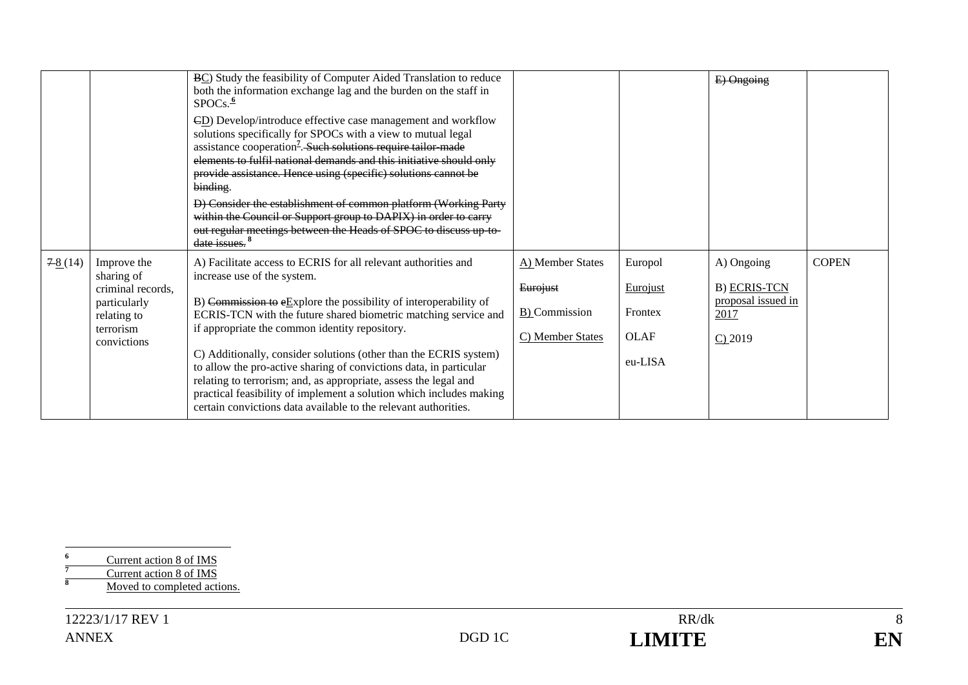|           |                                 | BC) Study the feasibility of Computer Aided Translation to reduce<br>both the information exchange lag and the burden on the staff in<br>SPOCs. <sup>6</sup>                                                                                                                                                                                                  |                  |                 | E) Ongoing          |              |
|-----------|---------------------------------|---------------------------------------------------------------------------------------------------------------------------------------------------------------------------------------------------------------------------------------------------------------------------------------------------------------------------------------------------------------|------------------|-----------------|---------------------|--------------|
|           |                                 | ED) Develop/introduce effective case management and workflow<br>solutions specifically for SPOCs with a view to mutual legal<br>assistance cooperation <sup>7</sup> . Such solutions require tailor made<br>elements to fulfil national demands and this initiative should only<br>provide assistance. Hence using (specific) solutions cannot be<br>binding. |                  |                 |                     |              |
|           |                                 | D) Consider the establishment of common platform (Working Party<br>within the Council or Support group to DAPIX) in order to carry<br>out regular meetings between the Heads of SPOC to discuss up to-<br>date issues. <sup>8</sup>                                                                                                                           |                  |                 |                     |              |
| $7-8(14)$ | Improve the                     | A) Facilitate access to ECRIS for all relevant authorities and                                                                                                                                                                                                                                                                                                | A) Member States | Europol         | A) Ongoing          | <b>COPEN</b> |
|           | sharing of<br>criminal records, | increase use of the system.                                                                                                                                                                                                                                                                                                                                   | Eurojust         | <b>Eurojust</b> | <b>B) ECRIS-TCN</b> |              |
|           | particularly                    | B) Commission to $eEx$ plore the possibility of interoperability of                                                                                                                                                                                                                                                                                           |                  |                 | proposal issued in  |              |
|           | relating to<br>terrorism        | ECRIS-TCN with the future shared biometric matching service and<br>if appropriate the common identity repository.                                                                                                                                                                                                                                             | B) Commission    | Frontex         | 2017                |              |
|           | convictions                     |                                                                                                                                                                                                                                                                                                                                                               | C) Member States | <b>OLAF</b>     | $C$ ) 2019          |              |
|           |                                 | C) Additionally, consider solutions (other than the ECRIS system)<br>to allow the pro-active sharing of convictions data, in particular<br>relating to terrorism; and, as appropriate, assess the legal and<br>practical feasibility of implement a solution which includes making<br>certain convictions data available to the relevant authorities.         |                  | eu-LISA         |                     |              |

<sup>6</sup><br>
<sup>7</sup><br> **8** Current action 8 of IMS<br> **8** Moved to completed actions.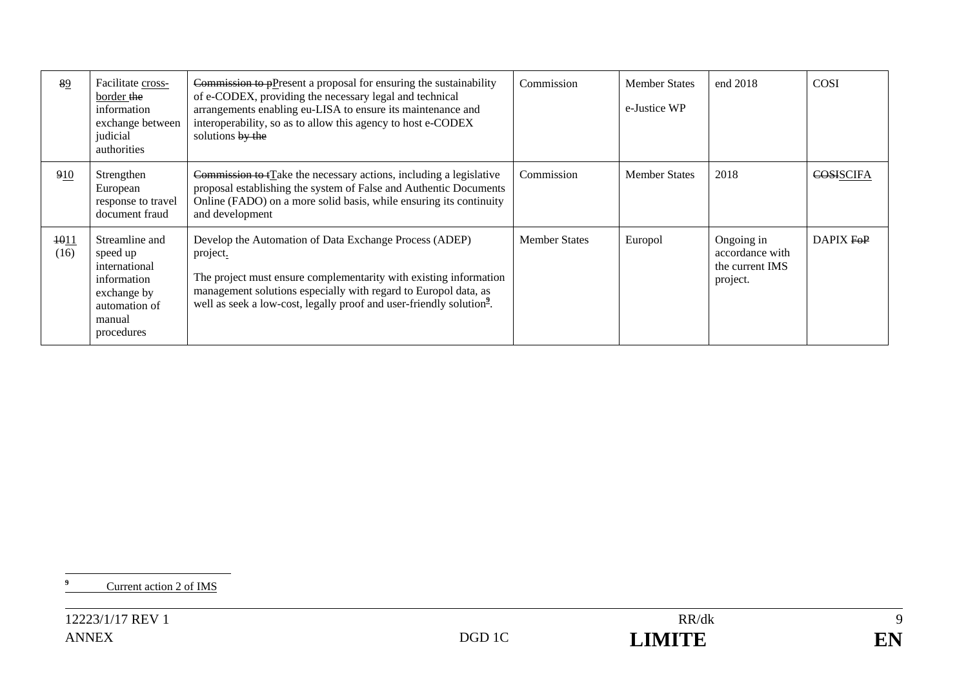| 89           | Facilitate cross-<br>border the<br>information<br>exchange between<br>judicial<br>authorities                      | Commission to $p$ P resent a proposal for ensuring the sustainability<br>of e-CODEX, providing the necessary legal and technical<br>arrangements enabling eu-LISA to ensure its maintenance and<br>interoperability, so as to allow this agency to host e-CODEX<br>solutions by the            | Commission           | <b>Member States</b><br>e-Justice WP | end 2018                                                     | <b>COSI</b> |
|--------------|--------------------------------------------------------------------------------------------------------------------|------------------------------------------------------------------------------------------------------------------------------------------------------------------------------------------------------------------------------------------------------------------------------------------------|----------------------|--------------------------------------|--------------------------------------------------------------|-------------|
| 910          | Strengthen<br>European<br>response to travel<br>document fraud                                                     | Commission to tTake the necessary actions, including a legislative<br>proposal establishing the system of False and Authentic Documents<br>Online (FADO) on a more solid basis, while ensuring its continuity<br>and development                                                               | Commission           | <b>Member States</b>                 | 2018                                                         | COSISCIFA   |
| 1011<br>(16) | Streamline and<br>speed up<br>international<br>information<br>exchange by<br>automation of<br>manual<br>procedures | Develop the Automation of Data Exchange Process (ADEP)<br>project.<br>The project must ensure complementarity with existing information<br>management solutions especially with regard to Europol data, as<br>well as seek a low-cost, legally proof and user-friendly solution <sup>2</sup> . | <b>Member States</b> | Europol                              | Ongoing in<br>accordance with<br>the current IMS<br>project. | DAPIX FOP   |

<sup>9</sup> Current action 2 of IMS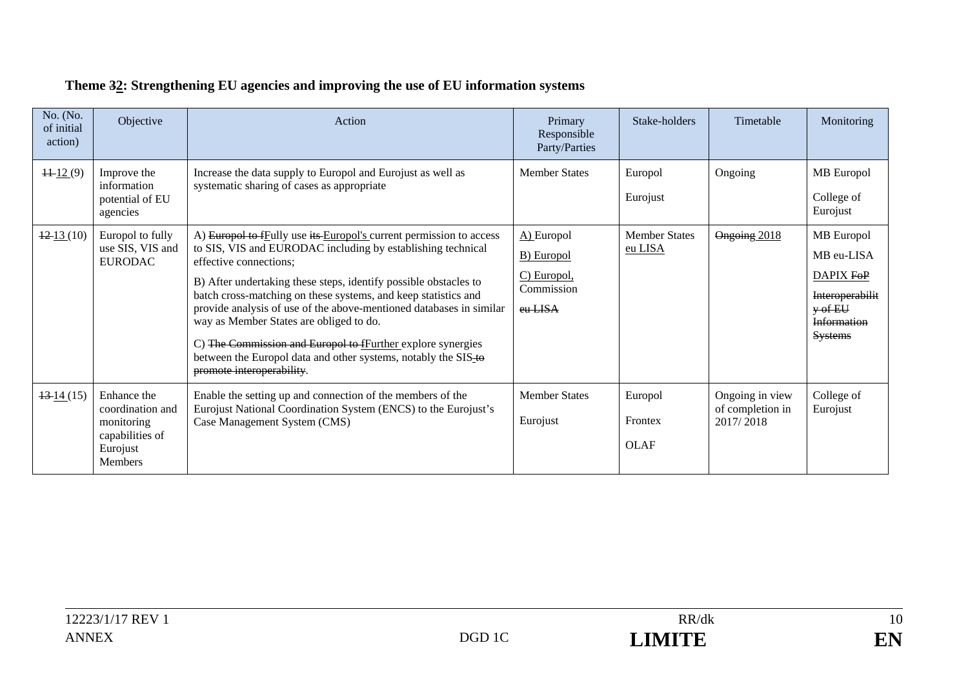| No. (No.<br>of initial<br>action) | Objective                                                                                      | Action                                                                                                                                                                                                                                                                                                                                                                                                                                                                                                                                                                             | Primary<br>Responsible<br>Party/Parties                                     | Stake-holders                     | Timetable                                        | Monitoring                                                                                                             |
|-----------------------------------|------------------------------------------------------------------------------------------------|------------------------------------------------------------------------------------------------------------------------------------------------------------------------------------------------------------------------------------------------------------------------------------------------------------------------------------------------------------------------------------------------------------------------------------------------------------------------------------------------------------------------------------------------------------------------------------|-----------------------------------------------------------------------------|-----------------------------------|--------------------------------------------------|------------------------------------------------------------------------------------------------------------------------|
| $\frac{11}{2}(9)$                 | Improve the<br>information<br>potential of EU<br>agencies                                      | Increase the data supply to Europol and Eurojust as well as<br>systematic sharing of cases as appropriate                                                                                                                                                                                                                                                                                                                                                                                                                                                                          | <b>Member States</b>                                                        | Europol<br>Eurojust               | Ongoing                                          | MB Europol<br>College of<br>Eurojust                                                                                   |
| $\frac{12}{13}$ (10)              | Europol to fully<br>use SIS, VIS and<br><b>EURODAC</b>                                         | A) Europol to fEully use its Europol's current permission to access<br>to SIS, VIS and EURODAC including by establishing technical<br>effective connections;<br>B) After undertaking these steps, identify possible obstacles to<br>batch cross-matching on these systems, and keep statistics and<br>provide analysis of use of the above-mentioned databases in similar<br>way as Member States are obliged to do.<br>C) The Commission and Europol to fFurther explore synergies<br>between the Europol data and other systems, notably the SIS-to<br>promote interoperability. | A) Europol<br><b>B</b> ) Europol<br>C) Europol,<br>Commission<br>$e$ u-LISA | <b>Member States</b><br>eu LISA   | Ongoing 2018                                     | MB Europol<br>MB eu-LISA<br>DAPIX FOP<br><b>Interoperabilit</b><br>$y \text{ of } EU$<br>Information<br><b>Systems</b> |
| $\frac{13 \cdot 14}{15}$          | Enhance the<br>coordination and<br>monitoring<br>capabilities of<br>Eurojust<br><b>Members</b> | Enable the setting up and connection of the members of the<br>Eurojust National Coordination System (ENCS) to the Eurojust's<br>Case Management System (CMS)                                                                                                                                                                                                                                                                                                                                                                                                                       | <b>Member States</b><br>Eurojust                                            | Europol<br>Frontex<br><b>OLAF</b> | Ongoing in view<br>of completion in<br>2017/2018 | College of<br>Eurojust                                                                                                 |

# **Theme 32: Strengthening EU agencies and improving the use of EU information systems**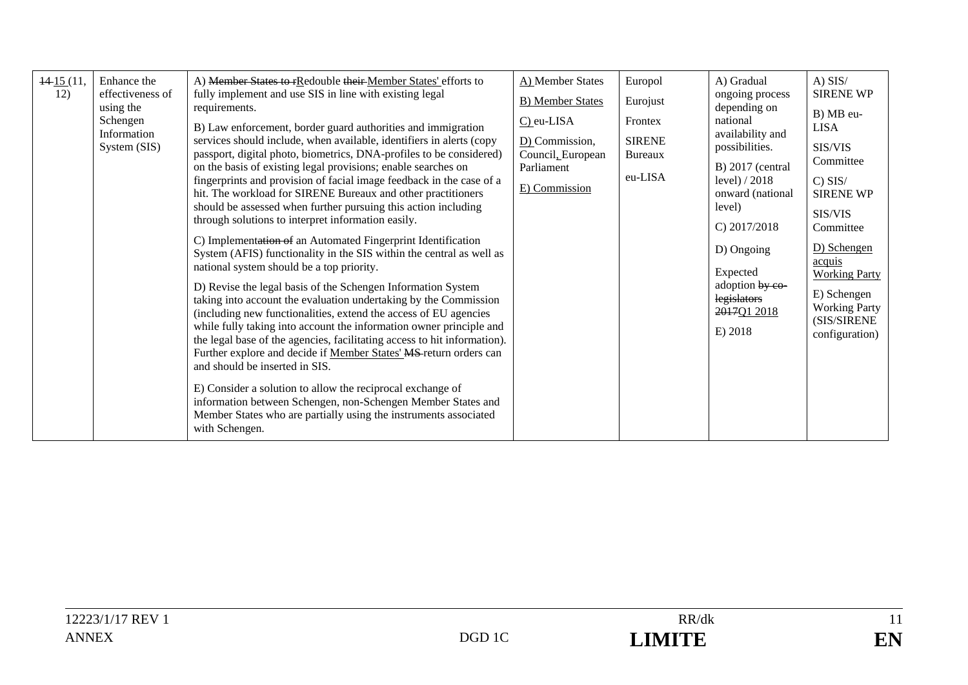| $\frac{14}{15}(11,$<br>12) | Enhance the<br>effectiveness of<br>using the<br>Schengen<br>Information<br>System (SIS) | A) Member States to rRedouble their Member States' efforts to<br>fully implement and use SIS in line with existing legal<br>requirements.<br>B) Law enforcement, border guard authorities and immigration<br>services should include, when available, identifiers in alerts (copy<br>passport, digital photo, biometrics, DNA-profiles to be considered)<br>on the basis of existing legal provisions; enable searches on<br>fingerprints and provision of facial image feedback in the case of a<br>hit. The workload for SIRENE Bureaux and other practitioners<br>should be assessed when further pursuing this action including<br>through solutions to interpret information easily.<br>C) Implementation of an Automated Fingerprint Identification<br>System (AFIS) functionality in the SIS within the central as well as<br>national system should be a top priority.<br>D) Revise the legal basis of the Schengen Information System<br>taking into account the evaluation undertaking by the Commission<br>(including new functionalities, extend the access of EU agencies<br>while fully taking into account the information owner principle and<br>the legal base of the agencies, facilitating access to hit information).<br>Further explore and decide if Member States' MS return orders can<br>and should be inserted in SIS.<br>E) Consider a solution to allow the reciprocal exchange of<br>information between Schengen, non-Schengen Member States and<br>Member States who are partially using the instruments associated<br>with Schengen. | A) Member States<br><b>B)</b> Member States<br>C) eu-LISA<br>$D$ ) Commission,<br>Council, European<br>Parliament<br>E) Commission | Europol<br>Eurojust<br>Frontex<br><b>SIRENE</b><br>Bureaux<br>eu-LISA | A) Gradual<br>ongoing process<br>depending on<br>national<br>availability and<br>possibilities.<br>B) 2017 (central<br>level) $/2018$<br>onward (national<br>level)<br>C) $2017/2018$<br>D) Ongoing<br>Expected<br>adoption by co-<br>legislators<br>2017Q1 2018<br>E) 2018 | $A)$ SIS/<br><b>SIRENE WP</b><br>B) MB eu-<br><b>LISA</b><br>SIS/VIS<br>Committee<br>$C)$ SIS/<br><b>SIRENE WP</b><br>SIS/VIS<br>Committee<br>D) Schengen<br>acquis<br><b>Working Party</b><br>E) Schengen<br><b>Working Party</b><br>(SIS/SIRENE<br>configuration) |
|----------------------------|-----------------------------------------------------------------------------------------|----------------------------------------------------------------------------------------------------------------------------------------------------------------------------------------------------------------------------------------------------------------------------------------------------------------------------------------------------------------------------------------------------------------------------------------------------------------------------------------------------------------------------------------------------------------------------------------------------------------------------------------------------------------------------------------------------------------------------------------------------------------------------------------------------------------------------------------------------------------------------------------------------------------------------------------------------------------------------------------------------------------------------------------------------------------------------------------------------------------------------------------------------------------------------------------------------------------------------------------------------------------------------------------------------------------------------------------------------------------------------------------------------------------------------------------------------------------------------------------------------------------------------------------------------------------------|------------------------------------------------------------------------------------------------------------------------------------|-----------------------------------------------------------------------|-----------------------------------------------------------------------------------------------------------------------------------------------------------------------------------------------------------------------------------------------------------------------------|---------------------------------------------------------------------------------------------------------------------------------------------------------------------------------------------------------------------------------------------------------------------|
|----------------------------|-----------------------------------------------------------------------------------------|----------------------------------------------------------------------------------------------------------------------------------------------------------------------------------------------------------------------------------------------------------------------------------------------------------------------------------------------------------------------------------------------------------------------------------------------------------------------------------------------------------------------------------------------------------------------------------------------------------------------------------------------------------------------------------------------------------------------------------------------------------------------------------------------------------------------------------------------------------------------------------------------------------------------------------------------------------------------------------------------------------------------------------------------------------------------------------------------------------------------------------------------------------------------------------------------------------------------------------------------------------------------------------------------------------------------------------------------------------------------------------------------------------------------------------------------------------------------------------------------------------------------------------------------------------------------|------------------------------------------------------------------------------------------------------------------------------------|-----------------------------------------------------------------------|-----------------------------------------------------------------------------------------------------------------------------------------------------------------------------------------------------------------------------------------------------------------------------|---------------------------------------------------------------------------------------------------------------------------------------------------------------------------------------------------------------------------------------------------------------------|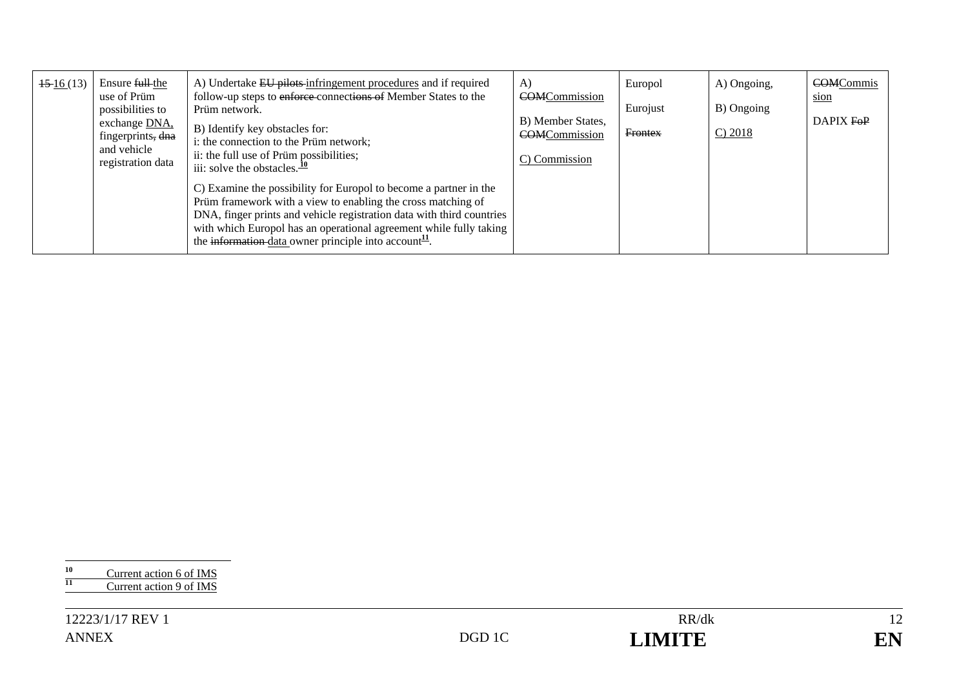| $\frac{15 \cdot 16}{13}$ | Ensure full the<br>use of Prüm<br>possibilities to<br>exchange DNA,<br>fingerprints, dna<br>and vehicle<br>registration data | A) Undertake EU pilots infringement procedures and if required<br>follow-up steps to enforce connections of Member States to the<br>Prüm network.<br>B) Identify key obstacles for:<br>i: the connection to the Prüm network;<br>ii: the full use of Prüm possibilities;<br>iii: solve the obstacles. $\frac{10}{10}$<br>C) Examine the possibility for Europol to become a partner in the<br>Prüm framework with a view to enabling the cross matching of<br>DNA, finger prints and vehicle registration data with third countries<br>with which Europol has an operational agreement while fully taking<br>the information-data owner principle into account <sup>11</sup> . | A)<br><b>COMCommission</b><br>B) Member States,<br><b>COMCommission</b><br>C) Commission | Europol<br>Eurojust<br><b>Frontex</b> | A) Ongoing,<br>B) Ongoing<br>C) 2018 | <b>COMCommis</b><br>sion<br>DAPIX FOP |
|--------------------------|------------------------------------------------------------------------------------------------------------------------------|--------------------------------------------------------------------------------------------------------------------------------------------------------------------------------------------------------------------------------------------------------------------------------------------------------------------------------------------------------------------------------------------------------------------------------------------------------------------------------------------------------------------------------------------------------------------------------------------------------------------------------------------------------------------------------|------------------------------------------------------------------------------------------|---------------------------------------|--------------------------------------|---------------------------------------|
|--------------------------|------------------------------------------------------------------------------------------------------------------------------|--------------------------------------------------------------------------------------------------------------------------------------------------------------------------------------------------------------------------------------------------------------------------------------------------------------------------------------------------------------------------------------------------------------------------------------------------------------------------------------------------------------------------------------------------------------------------------------------------------------------------------------------------------------------------------|------------------------------------------------------------------------------------------|---------------------------------------|--------------------------------------|---------------------------------------|

|    | Current action 6 of IMS |
|----|-------------------------|
| 11 | Current action 9 of IMS |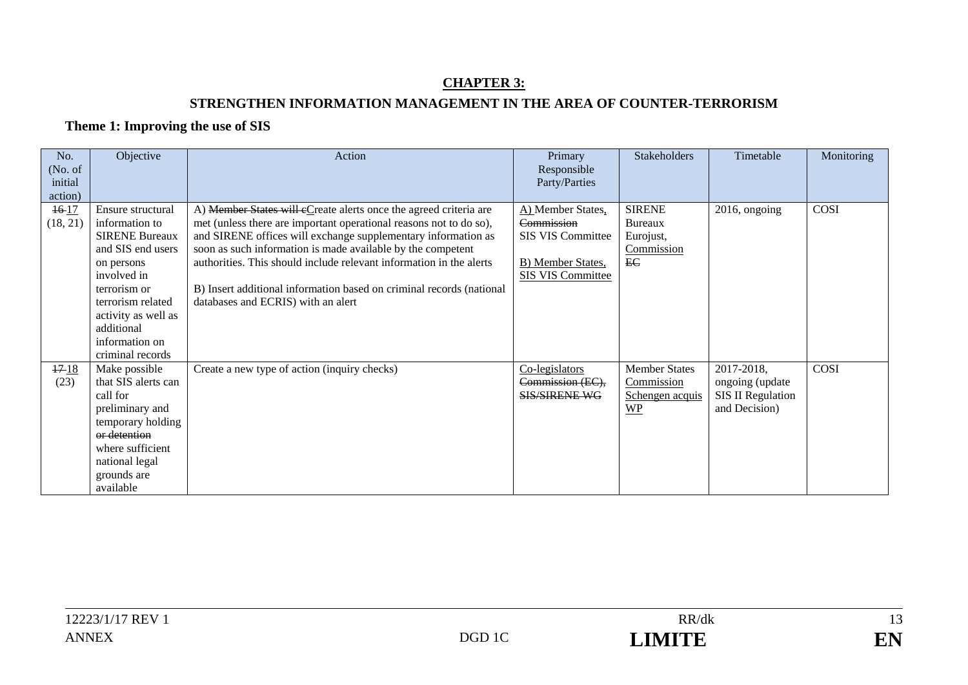### **CHAPTER 3: STRENGTHEN INFORMATION MANAGEMENT IN THE AREA OF COUNTER-TERRORISM**

### **Theme 1: Improving the use of SIS**

| No.      | Objective             | Action                                                               | Primary              | Stakeholders         | Timetable                | Monitoring |
|----------|-----------------------|----------------------------------------------------------------------|----------------------|----------------------|--------------------------|------------|
| (No. of) |                       |                                                                      | Responsible          |                      |                          |            |
| initial  |                       |                                                                      | Party/Parties        |                      |                          |            |
| action)  |                       |                                                                      |                      |                      |                          |            |
| $16-17$  | Ensure structural     | A) Member States will eCreate alerts once the agreed criteria are    | A) Member States,    | <b>SIRENE</b>        | 2016, ongoing            | COSI       |
| (18, 21) | information to        | met (unless there are important operational reasons not to do so),   | Commission           | <b>Bureaux</b>       |                          |            |
|          | <b>SIRENE Bureaux</b> | and SIRENE offices will exchange supplementary information as        | SIS VIS Committee    | Eurojust,            |                          |            |
|          | and SIS end users     | soon as such information is made available by the competent          |                      | Commission           |                          |            |
|          | on persons            | authorities. This should include relevant information in the alerts  | B) Member States,    | EC                   |                          |            |
|          | involved in           |                                                                      | SIS VIS Committee    |                      |                          |            |
|          | terrorism or          | B) Insert additional information based on criminal records (national |                      |                      |                          |            |
|          | terrorism related     | databases and ECRIS) with an alert                                   |                      |                      |                          |            |
|          | activity as well as   |                                                                      |                      |                      |                          |            |
|          | additional            |                                                                      |                      |                      |                          |            |
|          | information on        |                                                                      |                      |                      |                          |            |
|          | criminal records      |                                                                      |                      |                      |                          |            |
| 1718     | Make possible         | Create a new type of action (inquiry checks)                         | Co-legislators       | <b>Member States</b> | 2017-2018,               | COSI       |
| (23)     | that SIS alerts can   |                                                                      | Commission (EC),     | Commission           | ongoing (update          |            |
|          | call for              |                                                                      | <b>SIS/SIRENE WG</b> | Schengen acquis      | <b>SIS II Regulation</b> |            |
|          | preliminary and       |                                                                      |                      | <b>WP</b>            | and Decision)            |            |
|          | temporary holding     |                                                                      |                      |                      |                          |            |
|          | or detention          |                                                                      |                      |                      |                          |            |
|          | where sufficient      |                                                                      |                      |                      |                          |            |
|          | national legal        |                                                                      |                      |                      |                          |            |
|          | grounds are           |                                                                      |                      |                      |                          |            |
|          | available             |                                                                      |                      |                      |                          |            |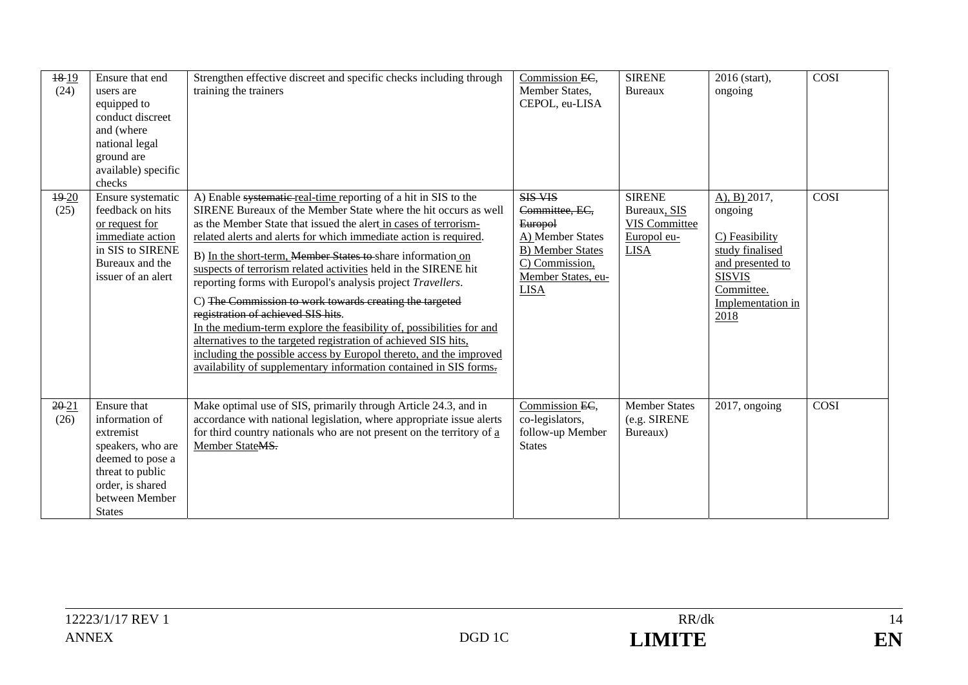| 1819<br>(24)      | Ensure that end<br>users are<br>equipped to<br>conduct discreet<br>and (where<br>national legal<br>ground are<br>available) specific<br>checks                 | Strengthen effective discreet and specific checks including through<br>training the trainers                                                                                                                                                                                                                                                                                                                                                                                                                                                                                                                                                                                                                                                                                                                                                                        | Commission EC,<br>Member States,<br>CEPOL, eu-LISA                                                                                                       | <b>SIRENE</b><br>Bureaux                                                     | 2016 (start),<br>ongoing                                                                                                                        | COSI        |
|-------------------|----------------------------------------------------------------------------------------------------------------------------------------------------------------|---------------------------------------------------------------------------------------------------------------------------------------------------------------------------------------------------------------------------------------------------------------------------------------------------------------------------------------------------------------------------------------------------------------------------------------------------------------------------------------------------------------------------------------------------------------------------------------------------------------------------------------------------------------------------------------------------------------------------------------------------------------------------------------------------------------------------------------------------------------------|----------------------------------------------------------------------------------------------------------------------------------------------------------|------------------------------------------------------------------------------|-------------------------------------------------------------------------------------------------------------------------------------------------|-------------|
| $19 - 20$<br>(25) | Ensure systematic<br>feedback on hits<br>or request for<br>immediate action<br>in SIS to SIRENE<br>Bureaux and the<br>issuer of an alert                       | A) Enable systematic real-time reporting of a hit in SIS to the<br>SIRENE Bureaux of the Member State where the hit occurs as well<br>as the Member State that issued the alert in cases of terrorism-<br>related alerts and alerts for which immediate action is required.<br>B) In the short-term, Member States to share information on<br>suspects of terrorism related activities held in the SIRENE hit<br>reporting forms with Europol's analysis project Travellers.<br>C) The Commission to work towards creating the targeted<br>registration of achieved SIS hits.<br>In the medium-term explore the feasibility of, possibilities for and<br>alternatives to the targeted registration of achieved SIS hits,<br>including the possible access by Europol thereto, and the improved<br>availability of supplementary information contained in SIS forms. | <b>SIS VIS</b><br>Committee, EC,<br><b>Europol</b><br>A) Member States<br><b>B)</b> Member States<br>C) Commission,<br>Member States, eu-<br><b>LISA</b> | <b>SIRENE</b><br>Bureaux, SIS<br>VIS Committee<br>Europol eu-<br><b>LISA</b> | $A)$ , B) 2017,<br>ongoing<br>C) Feasibility<br>study finalised<br>and presented to<br><b>SISVIS</b><br>Committee.<br>Implementation in<br>2018 | <b>COSI</b> |
| 20-21<br>(26)     | Ensure that<br>information of<br>extremist<br>speakers, who are<br>deemed to pose a<br>threat to public<br>order, is shared<br>between Member<br><b>States</b> | Make optimal use of SIS, primarily through Article 24.3, and in<br>accordance with national legislation, where appropriate issue alerts<br>for third country nationals who are not present on the territory of $\underline{a}$<br>Member StateMS.                                                                                                                                                                                                                                                                                                                                                                                                                                                                                                                                                                                                                   | Commission EC,<br>co-legislators,<br>follow-up Member<br><b>States</b>                                                                                   | <b>Member States</b><br>(e.g. SIRENE<br>Bureaux)                             | 2017, ongoing                                                                                                                                   | <b>COSI</b> |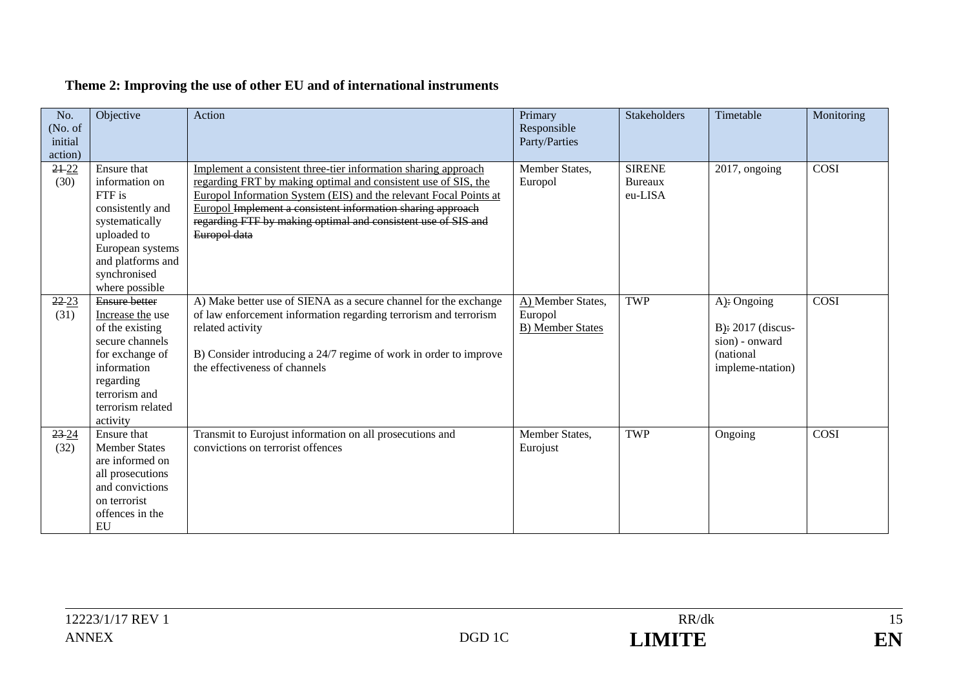| No.<br>(No. of)<br>initial<br>action) | Objective                                                                                                                                                                       | Action                                                                                                                                                                                                                                                                                                                                                | Primary<br>Responsible<br>Party/Parties                 | <b>Stakeholders</b>                        | Timetable                                                                              | Monitoring |
|---------------------------------------|---------------------------------------------------------------------------------------------------------------------------------------------------------------------------------|-------------------------------------------------------------------------------------------------------------------------------------------------------------------------------------------------------------------------------------------------------------------------------------------------------------------------------------------------------|---------------------------------------------------------|--------------------------------------------|----------------------------------------------------------------------------------------|------------|
| $21 - 22$<br>(30)                     | Ensure that<br>information on<br>FTF is<br>consistently and<br>systematically<br>uploaded to<br>European systems<br>and platforms and<br>synchronised<br>where possible         | Implement a consistent three-tier information sharing approach<br>regarding FRT by making optimal and consistent use of SIS, the<br>Europol Information System (EIS) and the relevant Focal Points at<br>Europol Implement a consistent information sharing approach<br>regarding FTF by making optimal and consistent use of SIS and<br>Europol data | Member States,<br>Europol                               | <b>SIRENE</b><br><b>Bureaux</b><br>eu-LISA | 2017, ongoing                                                                          | COSI       |
| $22 - 23$<br>(31)                     | <b>Ensure better</b><br>Increase the use<br>of the existing<br>secure channels<br>for exchange of<br>information<br>regarding<br>terrorism and<br>terrorism related<br>activity | A) Make better use of SIENA as a secure channel for the exchange<br>of law enforcement information regarding terrorism and terrorism<br>related activity<br>B) Consider introducing a 24/7 regime of work in order to improve<br>the effectiveness of channels                                                                                        | A) Member States,<br>Europol<br><b>B)</b> Member States | <b>TWP</b>                                 | A): Ongoing<br>$B$ ): 2017 (discus-<br>sion) - onward<br>(national<br>impleme-ntation) | COSI       |
| $23 - 24$<br>(32)                     | Ensure that<br><b>Member States</b><br>are informed on<br>all prosecutions<br>and convictions<br>on terrorist<br>offences in the<br>EU                                          | Transmit to Eurojust information on all prosecutions and<br>convictions on terrorist offences                                                                                                                                                                                                                                                         | Member States,<br>Eurojust                              | <b>TWP</b>                                 | Ongoing                                                                                | COSI       |

# **Theme 2: Improving the use of other EU and of international instruments**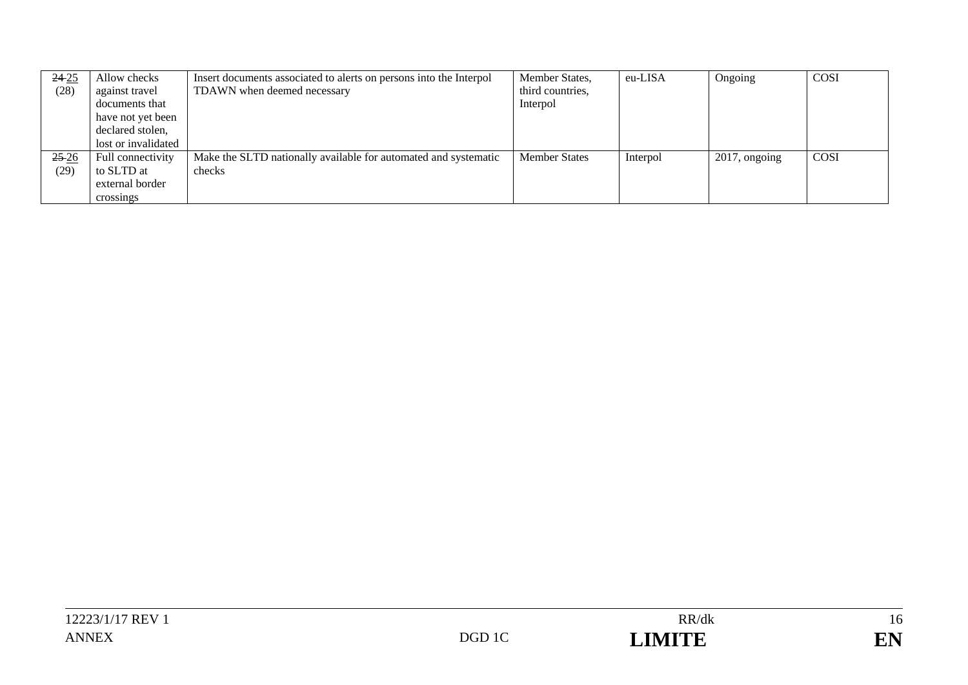| $24 - 25$ | Allow checks        | Insert documents associated to alerts on persons into the Interpol | Member States,       | eu-LISA  | Ongoing          | COSI |
|-----------|---------------------|--------------------------------------------------------------------|----------------------|----------|------------------|------|
| (28)      | against travel      | TDAWN when deemed necessary                                        | third countries,     |          |                  |      |
|           | documents that      |                                                                    | Interpol             |          |                  |      |
|           | have not yet been   |                                                                    |                      |          |                  |      |
|           | declared stolen,    |                                                                    |                      |          |                  |      |
|           | lost or invalidated |                                                                    |                      |          |                  |      |
| $25 - 26$ | Full connectivity   | Make the SLTD nationally available for automated and systematic    | <b>Member States</b> | Interpol | $2017$ , ongoing | COSI |
| (29)      | to SLTD at          | checks                                                             |                      |          |                  |      |
|           | external border     |                                                                    |                      |          |                  |      |
|           | crossings           |                                                                    |                      |          |                  |      |

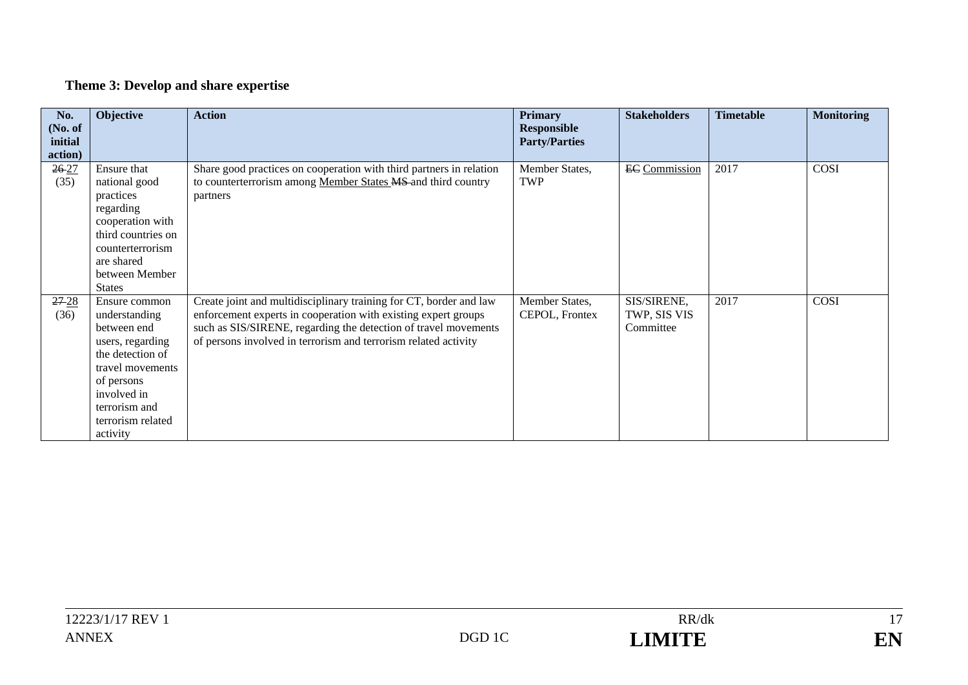# **Theme 3: Develop and share expertise**

| No.       | Objective                                                                   | <b>Action</b>                                                       | <b>Primary</b>       | <b>Stakeholders</b>  | <b>Timetable</b> | <b>Monitoring</b> |
|-----------|-----------------------------------------------------------------------------|---------------------------------------------------------------------|----------------------|----------------------|------------------|-------------------|
| (No. of   |                                                                             |                                                                     | <b>Responsible</b>   |                      |                  |                   |
| initial   |                                                                             |                                                                     | <b>Party/Parties</b> |                      |                  |                   |
| action)   |                                                                             |                                                                     |                      |                      |                  |                   |
| $26 - 27$ | Ensure that                                                                 | Share good practices on cooperation with third partners in relation | Member States,       | <b>EC</b> Commission | 2017             | COSI              |
| (35)      | national good                                                               | to counterterrorism among Member States MS and third country        | <b>TWP</b>           |                      |                  |                   |
|           | practices                                                                   | partners                                                            |                      |                      |                  |                   |
|           | regarding                                                                   |                                                                     |                      |                      |                  |                   |
|           | cooperation with                                                            |                                                                     |                      |                      |                  |                   |
|           | third countries on                                                          |                                                                     |                      |                      |                  |                   |
|           | counterterrorism                                                            |                                                                     |                      |                      |                  |                   |
|           | are shared                                                                  |                                                                     |                      |                      |                  |                   |
|           | between Member                                                              |                                                                     |                      |                      |                  |                   |
|           | <b>States</b>                                                               |                                                                     |                      |                      |                  |                   |
| $27 - 28$ | Ensure common                                                               | Create joint and multidisciplinary training for CT, border and law  | Member States,       | SIS/SIRENE,          | 2017             | COSI              |
| (36)      | understanding                                                               | enforcement experts in cooperation with existing expert groups      | CEPOL, Frontex       | TWP, SIS VIS         |                  |                   |
|           | between end                                                                 | such as SIS/SIRENE, regarding the detection of travel movements     |                      | Committee            |                  |                   |
|           | users, regarding                                                            | of persons involved in terrorism and terrorism related activity     |                      |                      |                  |                   |
|           | the detection of                                                            |                                                                     |                      |                      |                  |                   |
|           | travel movements                                                            |                                                                     |                      |                      |                  |                   |
|           |                                                                             |                                                                     |                      |                      |                  |                   |
|           |                                                                             |                                                                     |                      |                      |                  |                   |
|           |                                                                             |                                                                     |                      |                      |                  |                   |
|           |                                                                             |                                                                     |                      |                      |                  |                   |
|           | of persons<br>involved in<br>terrorism and<br>terrorism related<br>activity |                                                                     |                      |                      |                  |                   |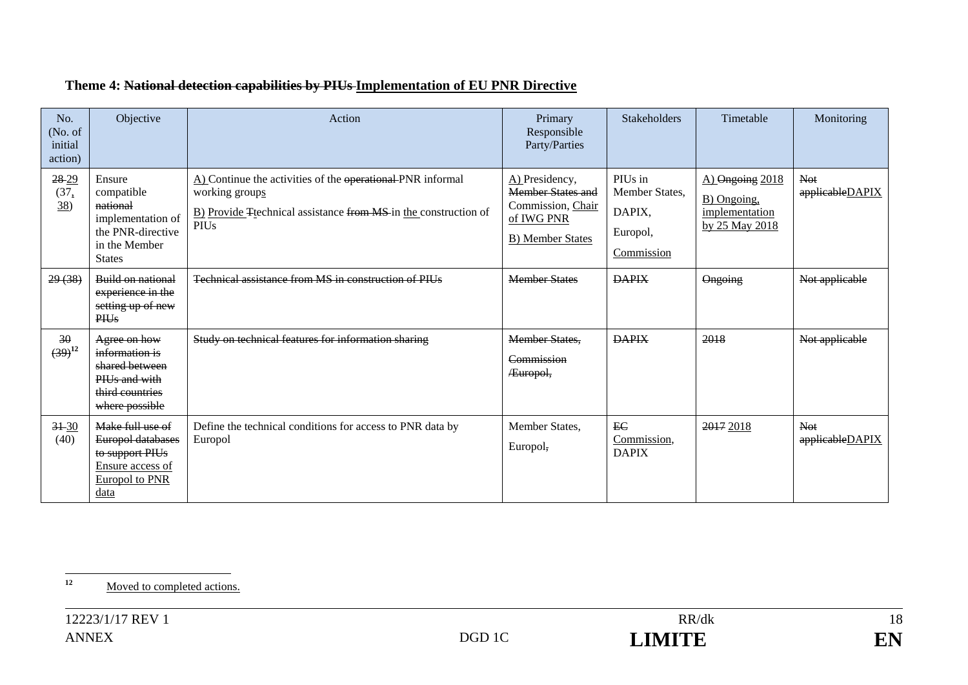| No.<br>(No. of<br>initial<br>action) | Objective                                                                                                    | Action                                                                                                                                                         | Primary<br>Responsible<br>Party/Parties                                                           | Stakeholders                                                  | Timetable                                                          | Monitoring                    |
|--------------------------------------|--------------------------------------------------------------------------------------------------------------|----------------------------------------------------------------------------------------------------------------------------------------------------------------|---------------------------------------------------------------------------------------------------|---------------------------------------------------------------|--------------------------------------------------------------------|-------------------------------|
| 28-29<br>(37,<br>38)                 | Ensure<br>compatible<br>national<br>implementation of<br>the PNR-directive<br>in the Member<br><b>States</b> | A) Continue the activities of the operational PNR informal<br>working groups<br>B) Provide Ttechnical assistance from MS in the construction of<br><b>PIUs</b> | A) Presidency,<br><b>Member States and</b><br>Commission, Chair<br>of IWG PNR<br>B) Member States | PIUs in<br>Member States,<br>DAPIX,<br>Europol,<br>Commission | A) Ongoing 2018<br>B) Ongoing,<br>implementation<br>by 25 May 2018 | Not<br>applicableDAPIX        |
| 29(38)                               | Build on national<br>experience in the<br>setting up of new<br><b>PHIs</b>                                   | Technical assistance from MS in construction of PIUs                                                                                                           | <b>Member States</b>                                                                              | <b>DAPIX</b>                                                  | Ongoing                                                            | Not applicable                |
| 30<br>$(39)^{12}$                    | Agree on how<br>information is<br>shared between<br>PIUs and with<br>third countries<br>where possible       | Study on technical features for information sharing                                                                                                            | <b>Member States.</b><br>Commission<br>Europol,                                                   | <b>DAPIX</b>                                                  | 2018                                                               | Not applicable                |
| $3 + 30$<br>(40)                     | Make full use of<br>Europol databases<br>to support PIUs<br>Ensure access of<br>Europol to PNR<br>data       | Define the technical conditions for access to PNR data by<br>Europol                                                                                           | Member States,<br>Europol,                                                                        | EC<br>Commission.<br><b>DAPIX</b>                             | 2017 2018                                                          | <b>Not</b><br>applicableDAPIX |

# **Theme 4: National detection capabilities by PIUs Implementation of EU PNR Directive**

<sup>12</sup> Moved to completed actions.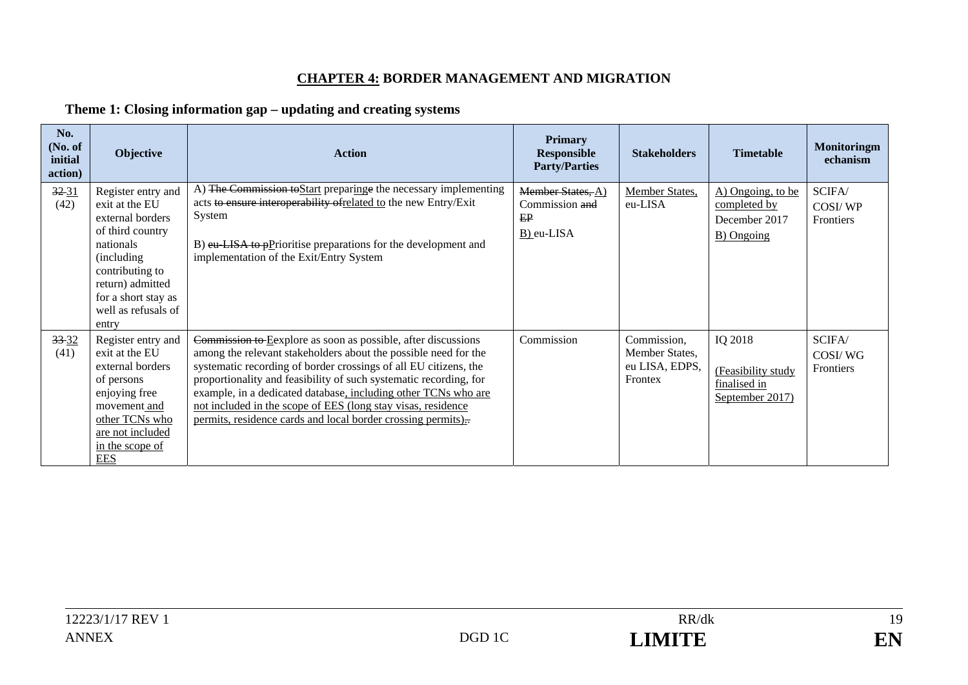### **CHAPTER 4: BORDER MANAGEMENT AND MIGRATION**

### **Theme 1: Closing information gap – updating and creating systems**

| No.<br>No. of<br>initial<br>action) | Objective                                                                                                                                                                                              | <b>Action</b>                                                                                                                                                                                                                                                                                                                                                                                                                                                               | <b>Primary</b><br><b>Responsible</b><br><b>Party/Parties</b> | <b>Stakeholders</b>                                        | <b>Timetable</b>                                                 | <b>Monitoringm</b><br>echanism |
|-------------------------------------|--------------------------------------------------------------------------------------------------------------------------------------------------------------------------------------------------------|-----------------------------------------------------------------------------------------------------------------------------------------------------------------------------------------------------------------------------------------------------------------------------------------------------------------------------------------------------------------------------------------------------------------------------------------------------------------------------|--------------------------------------------------------------|------------------------------------------------------------|------------------------------------------------------------------|--------------------------------|
| $32 - 31$<br>(42)                   | Register entry and<br>exit at the EU<br>external borders<br>of third country<br>nationals<br>(including)<br>contributing to<br>return) admitted<br>for a short stay as<br>well as refusals of<br>entry | A) The Commission to Start preparing the necessary implementing<br>acts to ensure interoperability of related to the new Entry/Exit<br>System<br>B) eu LISA to pPrioritise preparations for the development and<br>implementation of the Exit/Entry System                                                                                                                                                                                                                  | Member States, A)<br>Commission and<br>EP<br>B) eu-LISA      | Member States,<br>eu-LISA                                  | A) Ongoing, to be<br>completed by<br>December 2017<br>B) Ongoing | SCIFA/<br>COSI/WP<br>Frontiers |
| $33 - 32$<br>(41)                   | Register entry and<br>exit at the EU<br>external borders<br>of persons<br>enjoying free<br>movement and<br>other TCNs who<br>are not included<br>in the scope of<br><b>EES</b>                         | Commission to Eexplore as soon as possible, after discussions<br>among the relevant stakeholders about the possible need for the<br>systematic recording of border crossings of all EU citizens, the<br>proportionality and feasibility of such systematic recording, for<br>example, in a dedicated database, including other TCNs who are<br>not included in the scope of EES (long stay visas, residence<br>permits, residence cards and local border crossing permits). | Commission                                                   | Commission,<br>Member States.<br>eu LISA, EDPS,<br>Frontex | IQ 2018<br>(Feasibility study<br>finalised in<br>September 2017) | SCIFA/<br>COSI/WG<br>Frontiers |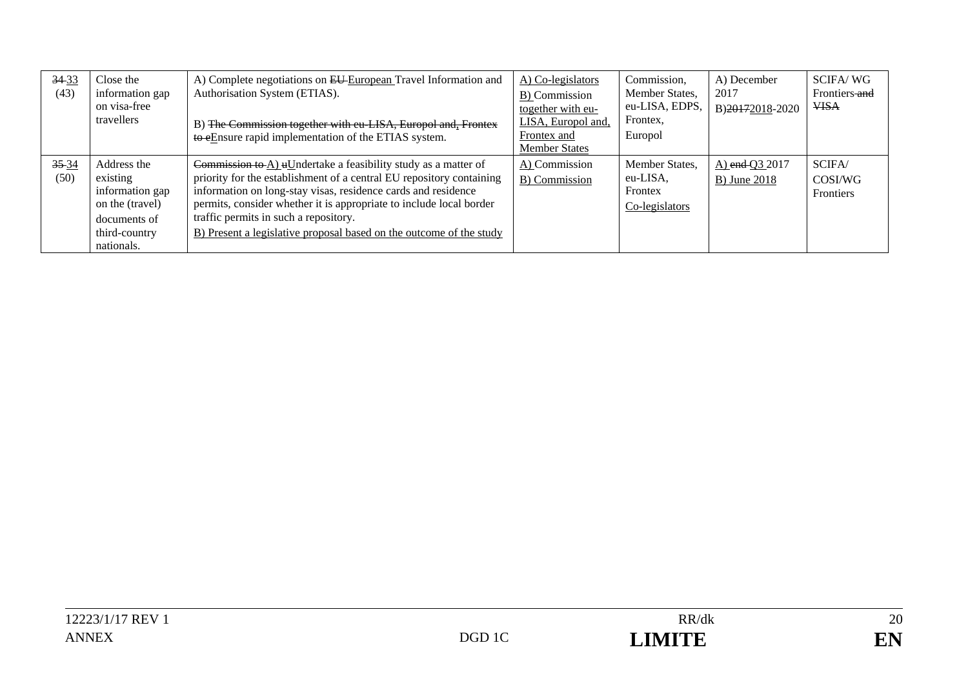| $34-33$<br>(43)   | Close the<br>information gap<br>on visa-free<br>travellers                                                   | A) Complete negotiations on EU-European Travel Information and<br>Authorisation System (ETIAS).<br>B) The Commission together with cu-LISA, Europol and, Frontex<br>to eEnsure rapid implementation of the ETIAS system.                                                                                                                                                                       | A) Co-legislators<br>B) Commission<br>together with eu-<br>LISA, Europol and,<br>Frontex and<br><b>Member States</b> | Commission,<br>Member States,<br>eu-LISA, EDPS.<br>Frontex,<br>Europol | A) December<br>2017<br>B)20172018-2020 | <b>SCIFA/WG</b><br>Frontiers and<br><b>VISA</b> |
|-------------------|--------------------------------------------------------------------------------------------------------------|------------------------------------------------------------------------------------------------------------------------------------------------------------------------------------------------------------------------------------------------------------------------------------------------------------------------------------------------------------------------------------------------|----------------------------------------------------------------------------------------------------------------------|------------------------------------------------------------------------|----------------------------------------|-------------------------------------------------|
| $35 - 34$<br>(50) | Address the<br>existing<br>information gap<br>on the (travel)<br>documents of<br>third-country<br>nationals. | Commission to A) uUndertake a feasibility study as a matter of<br>priority for the establishment of a central EU repository containing<br>information on long-stay visas, residence cards and residence<br>permits, consider whether it is appropriate to include local border<br>traffic permits in such a repository.<br>B) Present a legislative proposal based on the outcome of the study | A) Commission<br>B) Commission                                                                                       | Member States.<br>eu-LISA,<br>Frontex<br>Co-legislators                | A) end Q3 2017<br><b>B</b> ) June 2018 | SCIFA/<br>COSI/WG<br>Frontiers                  |

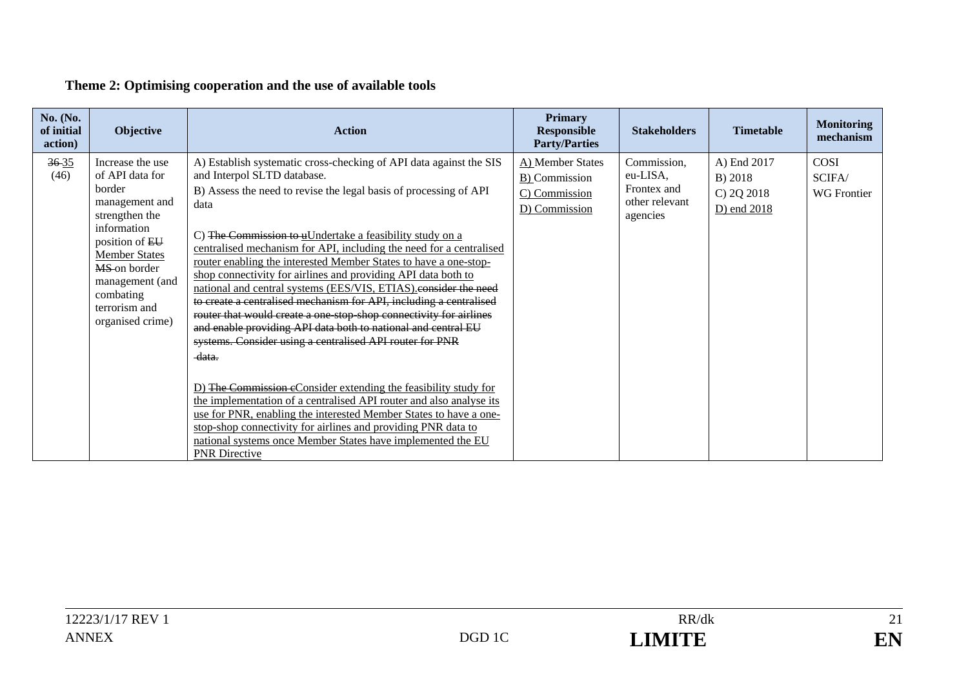# **Theme 2: Optimising cooperation and the use of available tools**

| No. (No.<br>of initial<br>action) | <b>Objective</b>                                                                                                                                                                                                                | <b>Action</b>                                                                                                                                                                                                                                                                                                                                                                                                                                                                                                                                                                                                                                                                                                                                                                                                                                                                                                                                                                                                                                                                                                                                                                      | <b>Primary</b><br><b>Responsible</b><br><b>Party/Parties</b>        | <b>Stakeholders</b>                                                  | <b>Timetable</b>                                    | <b>Monitoring</b><br>mechanism              |
|-----------------------------------|---------------------------------------------------------------------------------------------------------------------------------------------------------------------------------------------------------------------------------|------------------------------------------------------------------------------------------------------------------------------------------------------------------------------------------------------------------------------------------------------------------------------------------------------------------------------------------------------------------------------------------------------------------------------------------------------------------------------------------------------------------------------------------------------------------------------------------------------------------------------------------------------------------------------------------------------------------------------------------------------------------------------------------------------------------------------------------------------------------------------------------------------------------------------------------------------------------------------------------------------------------------------------------------------------------------------------------------------------------------------------------------------------------------------------|---------------------------------------------------------------------|----------------------------------------------------------------------|-----------------------------------------------------|---------------------------------------------|
| $36 - 35$<br>(46)                 | Increase the use<br>of API data for<br>border<br>management and<br>strengthen the<br>information<br>position of EU<br><b>Member States</b><br>MS-on border<br>management (and<br>combating<br>terrorism and<br>organised crime) | A) Establish systematic cross-checking of API data against the SIS<br>and Interpol SLTD database.<br>B) Assess the need to revise the legal basis of processing of API<br>data<br>C) The Commission to uUndertake a feasibility study on a<br>centralised mechanism for API, including the need for a centralised<br>router enabling the interested Member States to have a one-stop-<br>shop connectivity for airlines and providing API data both to<br>national and central systems (EES/VIS, ETIAS).consider the need<br>to create a centralised mechanism for API, including a centralised<br>router that would create a one stop shop connectivity for airlines<br>and enable providing API data both to national and central EU<br>systems. Consider using a centralised API router for PNR<br>data.<br>D) The Commission eConsider extending the feasibility study for<br>the implementation of a centralised API router and also analyse its<br>use for PNR, enabling the interested Member States to have a one-<br>stop-shop connectivity for airlines and providing PNR data to<br>national systems once Member States have implemented the EU<br><b>PNR Directive</b> | A) Member States<br>B) Commission<br>C) Commission<br>D) Commission | Commission,<br>eu-LISA,<br>Frontex and<br>other relevant<br>agencies | A) End 2017<br>B) 2018<br>C) 2Q 2018<br>D) end 2018 | <b>COSI</b><br>SCIFA/<br><b>WG</b> Frontier |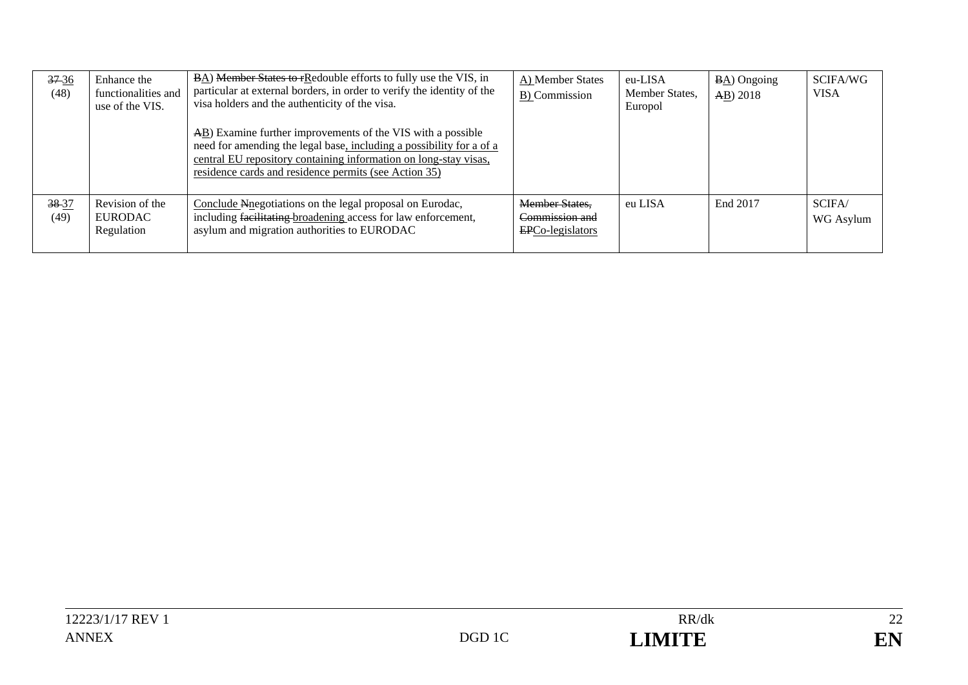| $37-36$<br>(48) | Enhance the<br>functionalities and<br>use of the VIS. | <b>BA)</b> Member States to rRedouble efforts to fully use the VIS, in<br>particular at external borders, in order to verify the identity of the<br>visa holders and the authenticity of the visa.                                                                             | A) Member States<br>B) Commission                           | eu-LISA<br>Member States,<br>Europol | $\underline{BA}$ Ongoing<br>AB) 2018 | SCIFA/WG<br><b>VISA</b> |
|-----------------|-------------------------------------------------------|--------------------------------------------------------------------------------------------------------------------------------------------------------------------------------------------------------------------------------------------------------------------------------|-------------------------------------------------------------|--------------------------------------|--------------------------------------|-------------------------|
|                 |                                                       | $\overline{AB}$ ) Examine further improvements of the VIS with a possible<br>need for amending the legal base, including a possibility for a of a<br>central EU repository containing information on long-stay visas,<br>residence cards and residence permits (see Action 35) |                                                             |                                      |                                      |                         |
| 38-37<br>(49)   | Revision of the<br>EURODAC<br>Regulation              | Conclude Nnegotiations on the legal proposal on Eurodac,<br>including facilitating broadening access for law enforcement,<br>asylum and migration authorities to EURODAC                                                                                                       | <b>Member States,</b><br>Commission and<br>EPCo-legislators | eu LISA                              | End 2017                             | SCIFA/<br>WG Asylum     |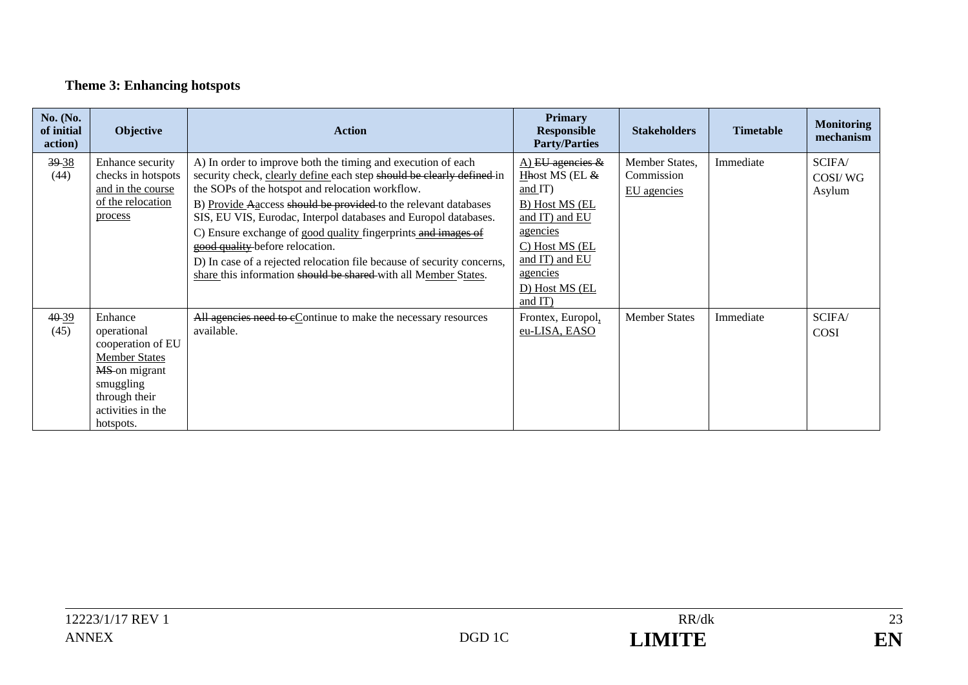# **Theme 3: Enhancing hotspots**

| <b>No.</b> (No.<br>of initial<br>action) | Objective                                                                                                                                            | <b>Action</b>                                                                                                                                                                                                                                                                                                                                                                                                                                                                                                                                                                    | <b>Primary</b><br><b>Responsible</b><br><b>Party/Parties</b>                                                                                                                        | <b>Stakeholders</b>                         | <b>Timetable</b> | <b>Monitoring</b><br>mechanism |
|------------------------------------------|------------------------------------------------------------------------------------------------------------------------------------------------------|----------------------------------------------------------------------------------------------------------------------------------------------------------------------------------------------------------------------------------------------------------------------------------------------------------------------------------------------------------------------------------------------------------------------------------------------------------------------------------------------------------------------------------------------------------------------------------|-------------------------------------------------------------------------------------------------------------------------------------------------------------------------------------|---------------------------------------------|------------------|--------------------------------|
| 39-38<br>(44)                            | Enhance security<br>checks in hotspots<br>and in the course<br>of the relocation<br>process                                                          | A) In order to improve both the timing and execution of each<br>security check, clearly define each step should be clearly defined in<br>the SOPs of the hotspot and relocation workflow.<br>B) Provide Aaccess should be provided to the relevant databases<br>SIS, EU VIS, Eurodac, Interpol databases and Europol databases.<br>C) Ensure exchange of good quality fingerprints and images of<br>good quality-before relocation.<br>D) In case of a rejected relocation file because of security concerns,<br>share this information should be shared with all Member States. | A) EU agencies $\&$<br>Hhost MS (EL $\&$<br>and $IT$ )<br>B) Host MS (EL<br>and IT) and EU<br>agencies<br>C) Host MS (EL<br>and IT) and EU<br>agencies<br>D) Host MS (EL<br>and IT) | Member States,<br>Commission<br>EU agencies | Immediate        | SCIFA/<br>COSI/WG<br>Asylum    |
| 40-39<br>(45)                            | Enhance<br>operational<br>cooperation of EU<br><b>Member States</b><br>MS-on migrant<br>smuggling<br>through their<br>activities in the<br>hotspots. | All agencies need to eContinue to make the necessary resources<br>available.                                                                                                                                                                                                                                                                                                                                                                                                                                                                                                     | Frontex, Europol,<br>eu-LISA, EASO                                                                                                                                                  | <b>Member States</b>                        | Immediate        | SCIFA/<br><b>COSI</b>          |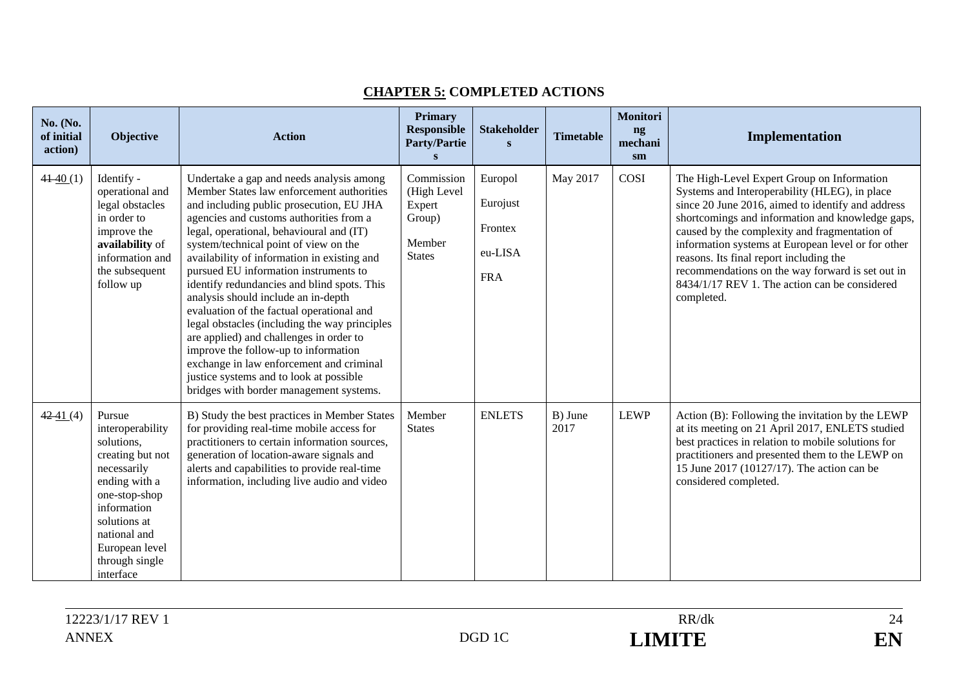| No. (No.<br>of initial<br>action) | Objective                                                                                                                                                                                                     | <b>Action</b>                                                                                                                                                                                                                                                                                                                                                                                                                                                                                                                                                                                                                                                                                                                                                      | <b>Primary</b><br><b>Responsible</b><br><b>Party/Partie</b>              | <b>Stakeholder</b><br>S                                 | <b>Timetable</b> | Monitori<br>ng<br>mechani<br>sm | Implementation                                                                                                                                                                                                                                                                                                                                                                                                                                                            |
|-----------------------------------|---------------------------------------------------------------------------------------------------------------------------------------------------------------------------------------------------------------|--------------------------------------------------------------------------------------------------------------------------------------------------------------------------------------------------------------------------------------------------------------------------------------------------------------------------------------------------------------------------------------------------------------------------------------------------------------------------------------------------------------------------------------------------------------------------------------------------------------------------------------------------------------------------------------------------------------------------------------------------------------------|--------------------------------------------------------------------------|---------------------------------------------------------|------------------|---------------------------------|---------------------------------------------------------------------------------------------------------------------------------------------------------------------------------------------------------------------------------------------------------------------------------------------------------------------------------------------------------------------------------------------------------------------------------------------------------------------------|
| $41-40(1)$                        | Identify -<br>operational and<br>legal obstacles<br>in order to<br>improve the<br>availability of<br>information and<br>the subsequent<br>follow up                                                           | Undertake a gap and needs analysis among<br>Member States law enforcement authorities<br>and including public prosecution, EU JHA<br>agencies and customs authorities from a<br>legal, operational, behavioural and (IT)<br>system/technical point of view on the<br>availability of information in existing and<br>pursued EU information instruments to<br>identify redundancies and blind spots. This<br>analysis should include an in-depth<br>evaluation of the factual operational and<br>legal obstacles (including the way principles<br>are applied) and challenges in order to<br>improve the follow-up to information<br>exchange in law enforcement and criminal<br>justice systems and to look at possible<br>bridges with border management systems. | Commission<br>(High Level<br>Expert<br>Group)<br>Member<br><b>States</b> | Europol<br>Eurojust<br>Frontex<br>eu-LISA<br><b>FRA</b> | May 2017         | COSI                            | The High-Level Expert Group on Information<br>Systems and Interoperability (HLEG), in place<br>since 20 June 2016, aimed to identify and address<br>shortcomings and information and knowledge gaps,<br>caused by the complexity and fragmentation of<br>information systems at European level or for other<br>reasons. Its final report including the<br>recommendations on the way forward is set out in<br>8434/1/17 REV 1. The action can be considered<br>completed. |
| $42 - 41(4)$                      | Pursue<br>interoperability<br>solutions,<br>creating but not<br>necessarily<br>ending with a<br>one-stop-shop<br>information<br>solutions at<br>national and<br>European level<br>through single<br>interface | B) Study the best practices in Member States<br>for providing real-time mobile access for<br>practitioners to certain information sources,<br>generation of location-aware signals and<br>alerts and capabilities to provide real-time<br>information, including live audio and video                                                                                                                                                                                                                                                                                                                                                                                                                                                                              | Member<br><b>States</b>                                                  | <b>ENLETS</b>                                           | B) June<br>2017  | <b>LEWP</b>                     | Action (B): Following the invitation by the LEWP<br>at its meeting on 21 April 2017, ENLETS studied<br>best practices in relation to mobile solutions for<br>practitioners and presented them to the LEWP on<br>15 June 2017 (10127/17). The action can be<br>considered completed.                                                                                                                                                                                       |

### **CHAPTER 5: COMPLETED ACTIONS**

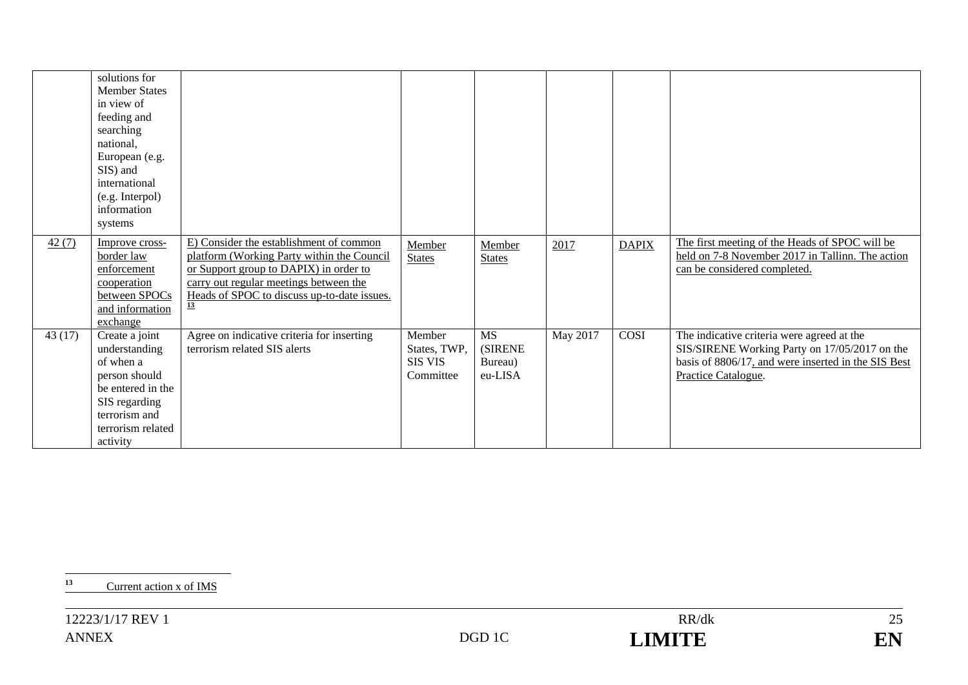|        | solutions for<br><b>Member States</b><br>in view of<br>feeding and<br>searching<br>national,<br>European (e.g.<br>SIS) and<br>international<br>(e.g. Interpol)<br>information<br>systems |                                                                                                                                                                                                                                             |                                                       |                                                    |          |              |                                                                                                                                                                           |
|--------|------------------------------------------------------------------------------------------------------------------------------------------------------------------------------------------|---------------------------------------------------------------------------------------------------------------------------------------------------------------------------------------------------------------------------------------------|-------------------------------------------------------|----------------------------------------------------|----------|--------------|---------------------------------------------------------------------------------------------------------------------------------------------------------------------------|
| 42(7)  | Improve cross-<br>border law<br>enforcement<br>cooperation<br>between SPOCs<br>and information<br>exchange                                                                               | E) Consider the establishment of common<br>platform (Working Party within the Council<br>or Support group to DAPIX) in order to<br>carry out regular meetings between the<br>Heads of SPOC to discuss up-to-date issues.<br>$\overline{13}$ | Member<br><b>States</b>                               | Member<br><b>States</b>                            | 2017     | <b>DAPIX</b> | The first meeting of the Heads of SPOC will be<br>held on 7-8 November 2017 in Tallinn. The action<br>can be considered completed.                                        |
| 43(17) | Create a joint<br>understanding<br>of when a<br>person should<br>be entered in the<br>SIS regarding<br>terrorism and<br>terrorism related<br>activity                                    | Agree on indicative criteria for inserting<br>terrorism related SIS alerts                                                                                                                                                                  | Member<br>States, TWP,<br><b>SIS VIS</b><br>Committee | <b>MS</b><br><b>(SIRENE)</b><br>Bureau)<br>eu-LISA | May 2017 | COSI         | The indicative criteria were agreed at the<br>SIS/SIRENE Working Party on 17/05/2017 on the<br>basis of 8806/17, and were inserted in the SIS Best<br>Practice Catalogue. |

**<sup>13</sup>** Current action x of IMS

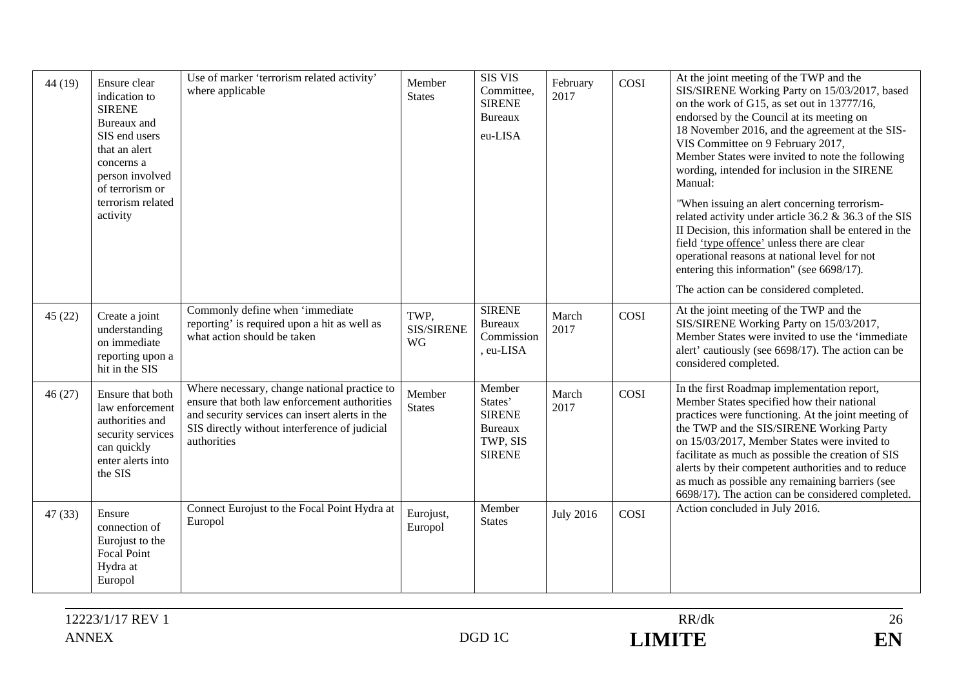| 44(19) | Ensure clear<br>indication to<br><b>SIRENE</b><br>Bureaux and<br>SIS end users<br>that an alert<br>concerns a<br>person involved<br>of terrorism or<br>terrorism related<br>activity | Use of marker 'terrorism related activity'<br>where applicable                                                                                                                                                 | Member<br><b>States</b>  | <b>SIS VIS</b><br>Committee,<br><b>SIRENE</b><br><b>Bureaux</b><br>eu-LISA        | February<br>2017 | COSI | At the joint meeting of the TWP and the<br>SIS/SIRENE Working Party on 15/03/2017, based<br>on the work of G15, as set out in 13777/16,<br>endorsed by the Council at its meeting on<br>18 November 2016, and the agreement at the SIS-<br>VIS Committee on 9 February 2017,<br>Member States were invited to note the following<br>wording, intended for inclusion in the SIRENE<br>Manual:<br>"When issuing an alert concerning terrorism-<br>related activity under article 36.2 & 36.3 of the SIS<br>II Decision, this information shall be entered in the<br>field 'type offence' unless there are clear<br>operational reasons at national level for not<br>entering this information" (see 6698/17).<br>The action can be considered completed. |
|--------|--------------------------------------------------------------------------------------------------------------------------------------------------------------------------------------|----------------------------------------------------------------------------------------------------------------------------------------------------------------------------------------------------------------|--------------------------|-----------------------------------------------------------------------------------|------------------|------|--------------------------------------------------------------------------------------------------------------------------------------------------------------------------------------------------------------------------------------------------------------------------------------------------------------------------------------------------------------------------------------------------------------------------------------------------------------------------------------------------------------------------------------------------------------------------------------------------------------------------------------------------------------------------------------------------------------------------------------------------------|
| 45(22) | Create a joint<br>understanding<br>on immediate<br>reporting upon a<br>hit in the SIS                                                                                                | Commonly define when 'immediate<br>reporting' is required upon a hit as well as<br>what action should be taken                                                                                                 | TWP.<br>SIS/SIRENE<br>WG | <b>SIRENE</b><br><b>Bureaux</b><br>Commission<br>, eu-LISA                        | March<br>2017    | COSI | At the joint meeting of the TWP and the<br>SIS/SIRENE Working Party on 15/03/2017,<br>Member States were invited to use the 'immediate<br>alert' cautiously (see 6698/17). The action can be<br>considered completed.                                                                                                                                                                                                                                                                                                                                                                                                                                                                                                                                  |
| 46(27) | Ensure that both<br>law enforcement<br>authorities and<br>security services<br>can quickly<br>enter alerts into<br>the SIS                                                           | Where necessary, change national practice to<br>ensure that both law enforcement authorities<br>and security services can insert alerts in the<br>SIS directly without interference of judicial<br>authorities | Member<br><b>States</b>  | Member<br>States'<br><b>SIRENE</b><br><b>Bureaux</b><br>TWP, SIS<br><b>SIRENE</b> | March<br>2017    | COSI | In the first Roadmap implementation report,<br>Member States specified how their national<br>practices were functioning. At the joint meeting of<br>the TWP and the SIS/SIRENE Working Party<br>on 15/03/2017, Member States were invited to<br>facilitate as much as possible the creation of SIS<br>alerts by their competent authorities and to reduce<br>as much as possible any remaining barriers (see<br>6698/17). The action can be considered completed.                                                                                                                                                                                                                                                                                      |
| 47(33) | Ensure<br>connection of<br>Eurojust to the<br><b>Focal Point</b><br>Hydra at<br>Europol                                                                                              | Connect Eurojust to the Focal Point Hydra at<br>Europol                                                                                                                                                        | Eurojust,<br>Europol     | Member<br><b>States</b>                                                           | <b>July 2016</b> | COSI | Action concluded in July 2016.                                                                                                                                                                                                                                                                                                                                                                                                                                                                                                                                                                                                                                                                                                                         |

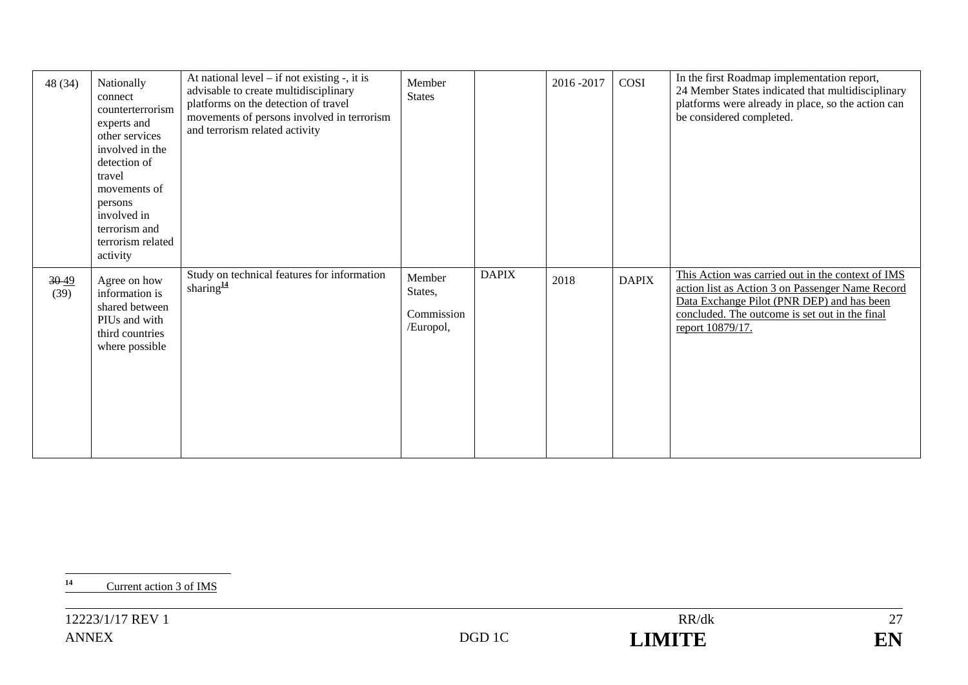| 48 (34)           | Nationally<br>connect<br>counterterrorism<br>experts and<br>other services<br>involved in the<br>detection of<br>travel<br>movements of<br>persons<br>involved in<br>terrorism and<br>terrorism related<br>activity | At national level $-$ if not existing $-$ , it is<br>advisable to create multidisciplinary<br>platforms on the detection of travel<br>movements of persons involved in terrorism<br>and terrorism related activity | Member<br><b>States</b>                      |              | 2016-2017 | COSI         | In the first Roadmap implementation report,<br>24 Member States indicated that multidisciplinary<br>platforms were already in place, so the action can<br>be considered completed.                                        |
|-------------------|---------------------------------------------------------------------------------------------------------------------------------------------------------------------------------------------------------------------|--------------------------------------------------------------------------------------------------------------------------------------------------------------------------------------------------------------------|----------------------------------------------|--------------|-----------|--------------|---------------------------------------------------------------------------------------------------------------------------------------------------------------------------------------------------------------------------|
| $30 - 49$<br>(39) | Agree on how<br>information is<br>shared between<br>PIUs and with<br>third countries<br>where possible                                                                                                              | Study on technical features for information<br>sharing $\frac{14}{3}$                                                                                                                                              | Member<br>States,<br>Commission<br>/Europol, | <b>DAPIX</b> | 2018      | <b>DAPIX</b> | This Action was carried out in the context of IMS<br>action list as Action 3 on Passenger Name Record<br>Data Exchange Pilot (PNR DEP) and has been<br>concluded. The outcome is set out in the final<br>report 10879/17. |

**<sup>14</sup>** Current action 3 of IMS

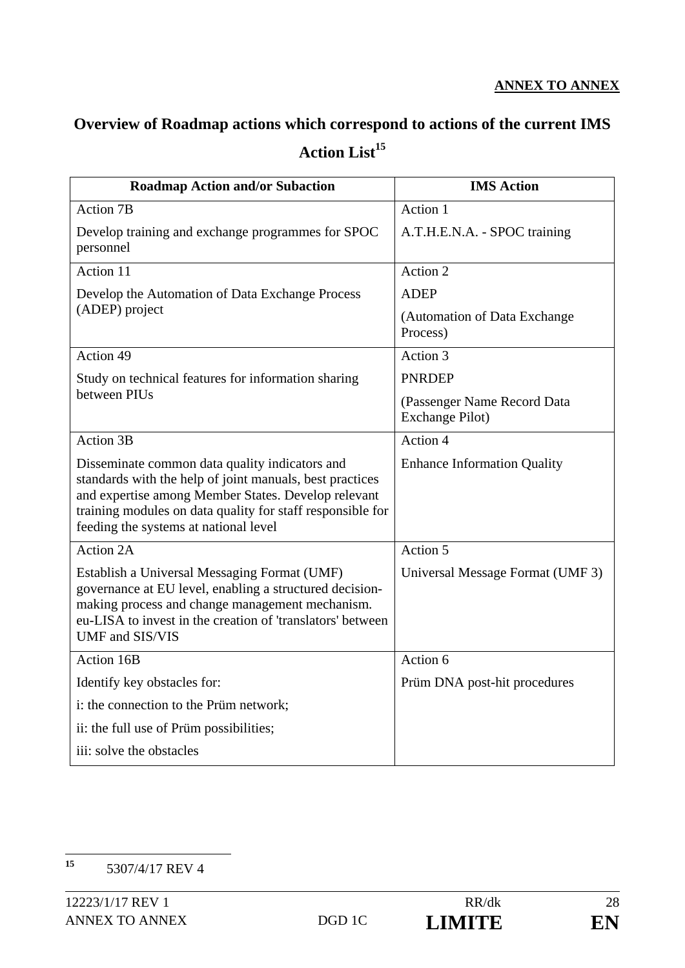# **Overview of Roadmap actions which correspond to actions of the current IMS**  Action List<sup>15</sup>

| <b>Roadmap Action and/or Subaction</b>                                                                                                                                                                                                                                   | <b>IMS Action</b>                                      |  |  |  |
|--------------------------------------------------------------------------------------------------------------------------------------------------------------------------------------------------------------------------------------------------------------------------|--------------------------------------------------------|--|--|--|
| <b>Action 7B</b>                                                                                                                                                                                                                                                         | Action 1                                               |  |  |  |
| Develop training and exchange programmes for SPOC<br>personnel                                                                                                                                                                                                           | A.T.H.E.N.A. - SPOC training                           |  |  |  |
| Action 11                                                                                                                                                                                                                                                                | Action 2                                               |  |  |  |
| Develop the Automation of Data Exchange Process                                                                                                                                                                                                                          | <b>ADEP</b>                                            |  |  |  |
| (ADEP) project                                                                                                                                                                                                                                                           | (Automation of Data Exchange<br>Process)               |  |  |  |
| Action 49                                                                                                                                                                                                                                                                | Action 3                                               |  |  |  |
| Study on technical features for information sharing                                                                                                                                                                                                                      | <b>PNRDEP</b>                                          |  |  |  |
| between PIUs                                                                                                                                                                                                                                                             | (Passenger Name Record Data<br><b>Exchange Pilot</b> ) |  |  |  |
| Action 3B                                                                                                                                                                                                                                                                | Action 4                                               |  |  |  |
| Disseminate common data quality indicators and<br>standards with the help of joint manuals, best practices<br>and expertise among Member States. Develop relevant<br>training modules on data quality for staff responsible for<br>feeding the systems at national level | <b>Enhance Information Quality</b>                     |  |  |  |
| <b>Action 2A</b>                                                                                                                                                                                                                                                         | Action 5                                               |  |  |  |
| Establish a Universal Messaging Format (UMF)<br>governance at EU level, enabling a structured decision-<br>making process and change management mechanism.<br>eu-LISA to invest in the creation of 'translators' between<br>UMF and SIS/VIS                              | Universal Message Format (UMF 3)                       |  |  |  |
| Action 16B                                                                                                                                                                                                                                                               | Action 6                                               |  |  |  |
| Identify key obstacles for:                                                                                                                                                                                                                                              | Prüm DNA post-hit procedures                           |  |  |  |
| i: the connection to the Prüm network;                                                                                                                                                                                                                                   |                                                        |  |  |  |
| ii: the full use of Prüm possibilities;                                                                                                                                                                                                                                  |                                                        |  |  |  |
| iii: solve the obstacles                                                                                                                                                                                                                                                 |                                                        |  |  |  |

 $15$ **<sup>15</sup>** 5307/4/17 REV 4